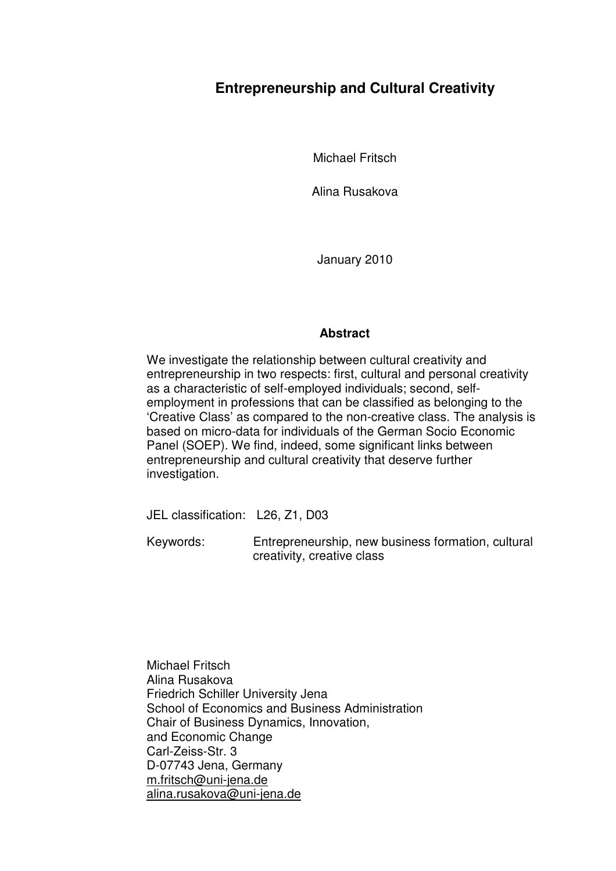# **Entrepreneurship and Cultural Creativity**

Michael Fritsch

Alina Rusakova

January 2010

### **Abstract**

We investigate the relationship between cultural creativity and entrepreneurship in two respects: first, cultural and personal creativity as a characteristic of self-employed individuals; second, selfemployment in professions that can be classified as belonging to the 'Creative Class' as compared to the non-creative class. The analysis is based on micro-data for individuals of the German Socio Economic Panel (SOEP). We find, indeed, some significant links between entrepreneurship and cultural creativity that deserve further investigation.

JEL classification: L26, Z1, D03

Keywords:Entrepreneurship, new business formation, cultural creativity, creative class

Michael Fritsch Alina Rusakova Friedrich Schiller University Jena School of Economics and Business Administration Chair of Business Dynamics, Innovation, and Economic Change Carl-Zeiss-Str. 3 D-07743 Jena, Germany m.fritsch@uni-jena.de alina.rusakova@uni-jena.de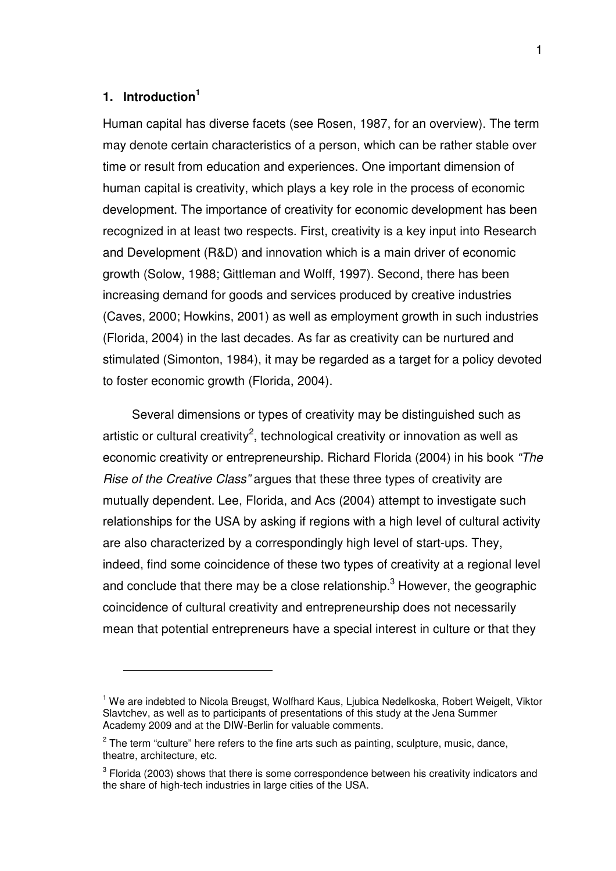# **1. Introduction<sup>1</sup>**

 $\overline{a}$ 

Human capital has diverse facets (see Rosen, 1987, for an overview). The term may denote certain characteristics of a person, which can be rather stable over time or result from education and experiences. One important dimension of human capital is creativity, which plays a key role in the process of economic development. The importance of creativity for economic development has been recognized in at least two respects. First, creativity is a key input into Research and Development (R&D) and innovation which is a main driver of economic growth (Solow, 1988; Gittleman and Wolff, 1997). Second, there has been increasing demand for goods and services produced by creative industries (Caves, 2000; Howkins, 2001) as well as employment growth in such industries (Florida, 2004) in the last decades. As far as creativity can be nurtured and stimulated (Simonton, 1984), it may be regarded as a target for a policy devoted to foster economic growth (Florida, 2004).

Several dimensions or types of creativity may be distinguished such as artistic or cultural creativity<sup>2</sup>, technological creativity or innovation as well as economic creativity or entrepreneurship. Richard Florida (2004) in his book *"The Rise of the Creative Class"* argues that these three types of creativity are mutually dependent. Lee, Florida, and Acs (2004) attempt to investigate such relationships for the USA by asking if regions with a high level of cultural activity are also characterized by a correspondingly high level of start-ups. They, indeed, find some coincidence of these two types of creativity at a regional level and conclude that there may be a close relationship.<sup>3</sup> However, the geographic coincidence of cultural creativity and entrepreneurship does not necessarily mean that potential entrepreneurs have a special interest in culture or that they

<sup>&</sup>lt;sup>1</sup> We are indebted to Nicola Breugst, Wolfhard Kaus, Ljubica Nedelkoska, Robert Weigelt, Viktor Slavtchev, as well as to participants of presentations of this study at the Jena Summer Academy 2009 and at the DIW-Berlin for valuable comments.

 $2$  The term "culture" here refers to the fine arts such as painting, sculpture, music, dance, theatre, architecture, etc.

 $3$  Florida (2003) shows that there is some correspondence between his creativity indicators and the share of high-tech industries in large cities of the USA.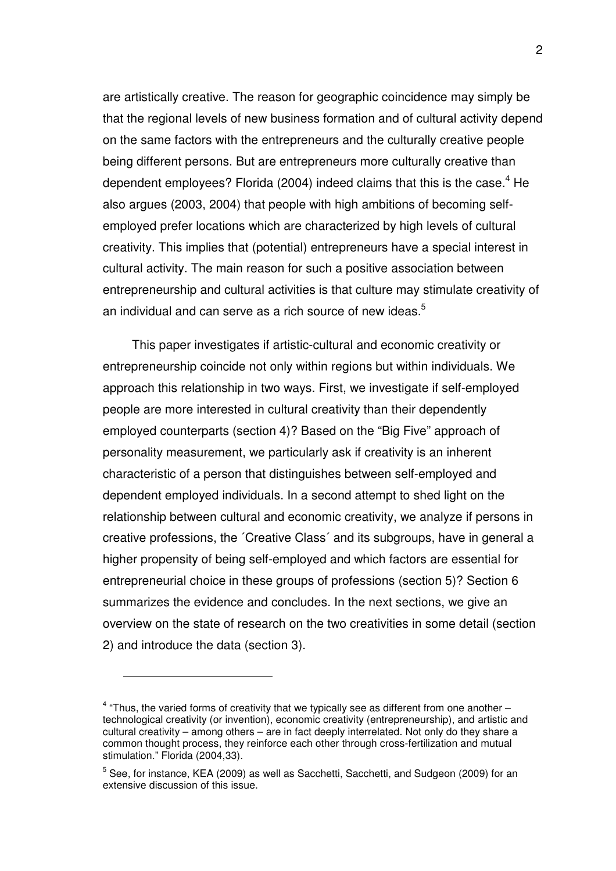are artistically creative. The reason for geographic coincidence may simply be that the regional levels of new business formation and of cultural activity depend on the same factors with the entrepreneurs and the culturally creative people being different persons. But are entrepreneurs more culturally creative than dependent employees? Florida (2004) indeed claims that this is the case. $4$  He also argues (2003, 2004) that people with high ambitions of becoming selfemployed prefer locations which are characterized by high levels of cultural creativity. This implies that (potential) entrepreneurs have a special interest in cultural activity. The main reason for such a positive association between entrepreneurship and cultural activities is that culture may stimulate creativity of an individual and can serve as a rich source of new ideas. $5$ 

This paper investigates if artistic-cultural and economic creativity or entrepreneurship coincide not only within regions but within individuals. We approach this relationship in two ways. First, we investigate if self-employed people are more interested in cultural creativity than their dependently employed counterparts (section 4)? Based on the "Big Five" approach of personality measurement, we particularly ask if creativity is an inherent characteristic of a person that distinguishes between self-employed and dependent employed individuals. In a second attempt to shed light on the relationship between cultural and economic creativity, we analyze if persons in creative professions, the ´Creative Class´ and its subgroups, have in general a higher propensity of being self-employed and which factors are essential for entrepreneurial choice in these groups of professions (section 5)? Section 6 summarizes the evidence and concludes. In the next sections, we give an overview on the state of research on the two creativities in some detail (section 2) and introduce the data (section 3).

 $4$  "Thus, the varied forms of creativity that we typically see as different from one another  $$ technological creativity (or invention), economic creativity (entrepreneurship), and artistic and cultural creativity – among others – are in fact deeply interrelated. Not only do they share a common thought process, they reinforce each other through cross-fertilization and mutual stimulation." Florida (2004,33).

<sup>&</sup>lt;sup>5</sup> See, for instance, KEA (2009) as well as Sacchetti, Sacchetti, and Sudgeon (2009) for an extensive discussion of this issue.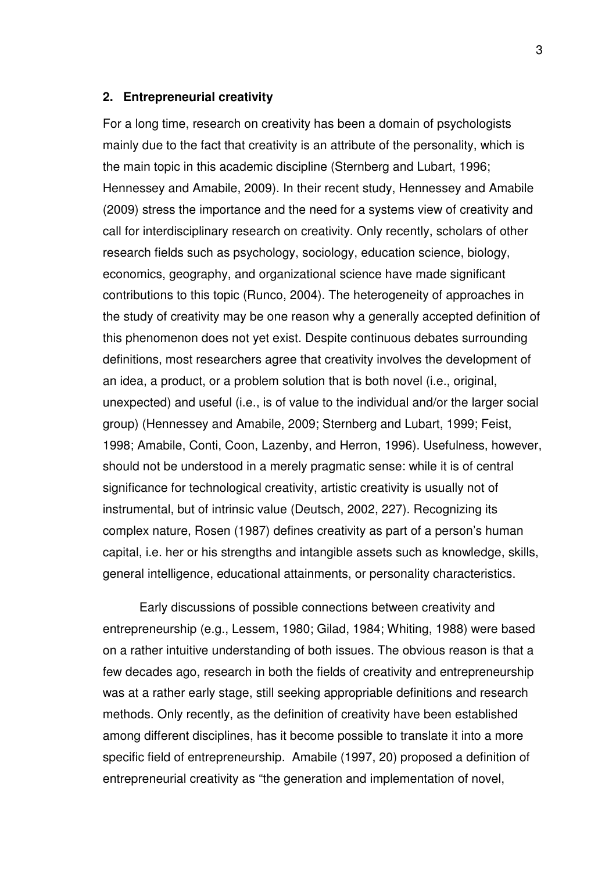#### **2. Entrepreneurial creativity**

For a long time, research on creativity has been a domain of psychologists mainly due to the fact that creativity is an attribute of the personality, which is the main topic in this academic discipline (Sternberg and Lubart, 1996; Hennessey and Amabile, 2009). In their recent study, Hennessey and Amabile (2009) stress the importance and the need for a systems view of creativity and call for interdisciplinary research on creativity. Only recently, scholars of other research fields such as psychology, sociology, education science, biology, economics, geography, and organizational science have made significant contributions to this topic (Runco, 2004). The heterogeneity of approaches in the study of creativity may be one reason why a generally accepted definition of this phenomenon does not yet exist. Despite continuous debates surrounding definitions, most researchers agree that creativity involves the development of an idea, a product, or a problem solution that is both novel (i.e., original, unexpected) and useful (i.e., is of value to the individual and/or the larger social group) (Hennessey and Amabile, 2009; Sternberg and Lubart, 1999; Feist, 1998; Amabile, Conti, Coon, Lazenby, and Herron, 1996). Usefulness, however, should not be understood in a merely pragmatic sense: while it is of central significance for technological creativity, artistic creativity is usually not of instrumental, but of intrinsic value (Deutsch, 2002, 227). Recognizing its complex nature, Rosen (1987) defines creativity as part of a person's human capital, i.e. her or his strengths and intangible assets such as knowledge, skills, general intelligence, educational attainments, or personality characteristics.

 Early discussions of possible connections between creativity and entrepreneurship (e.g., Lessem, 1980; Gilad, 1984; Whiting, 1988) were based on a rather intuitive understanding of both issues. The obvious reason is that a few decades ago, research in both the fields of creativity and entrepreneurship was at a rather early stage, still seeking appropriable definitions and research methods. Only recently, as the definition of creativity have been established among different disciplines, has it become possible to translate it into a more specific field of entrepreneurship. Amabile (1997, 20) proposed a definition of entrepreneurial creativity as "the generation and implementation of novel,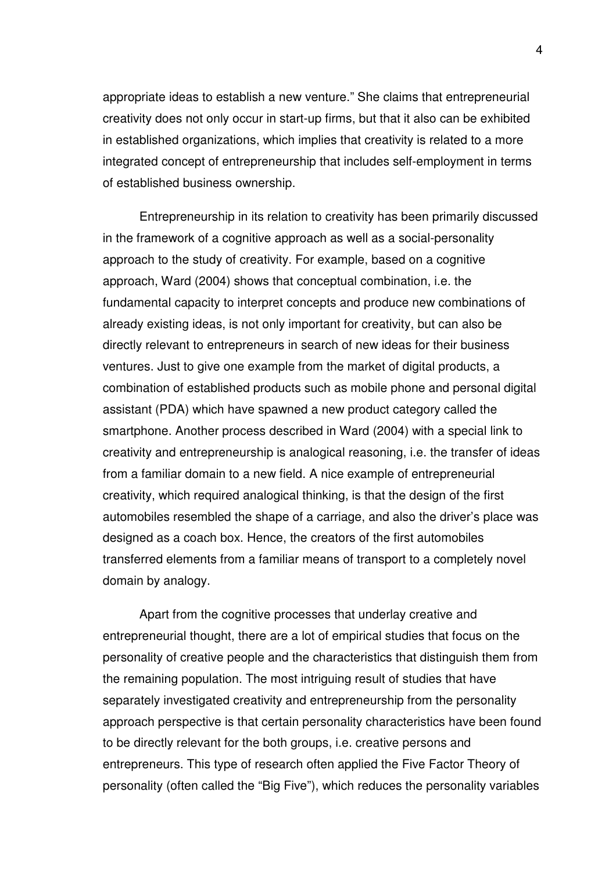appropriate ideas to establish a new venture." She claims that entrepreneurial creativity does not only occur in start-up firms, but that it also can be exhibited in established organizations, which implies that creativity is related to a more integrated concept of entrepreneurship that includes self-employment in terms of established business ownership.

Entrepreneurship in its relation to creativity has been primarily discussed in the framework of a cognitive approach as well as a social-personality approach to the study of creativity. For example, based on a cognitive approach, Ward (2004) shows that conceptual combination, i.e. the fundamental capacity to interpret concepts and produce new combinations of already existing ideas, is not only important for creativity, but can also be directly relevant to entrepreneurs in search of new ideas for their business ventures. Just to give one example from the market of digital products, a combination of established products such as mobile phone and personal digital assistant (PDA) which have spawned a new product category called the smartphone. Another process described in Ward (2004) with a special link to creativity and entrepreneurship is analogical reasoning, i.e. the transfer of ideas from a familiar domain to a new field. A nice example of entrepreneurial creativity, which required analogical thinking, is that the design of the first automobiles resembled the shape of a carriage, and also the driver's place was designed as a coach box. Hence, the creators of the first automobiles transferred elements from a familiar means of transport to a completely novel domain by analogy.

Apart from the cognitive processes that underlay creative and entrepreneurial thought, there are a lot of empirical studies that focus on the personality of creative people and the characteristics that distinguish them from the remaining population. The most intriguing result of studies that have separately investigated creativity and entrepreneurship from the personality approach perspective is that certain personality characteristics have been found to be directly relevant for the both groups, i.e. creative persons and entrepreneurs. This type of research often applied the Five Factor Theory of personality (often called the "Big Five"), which reduces the personality variables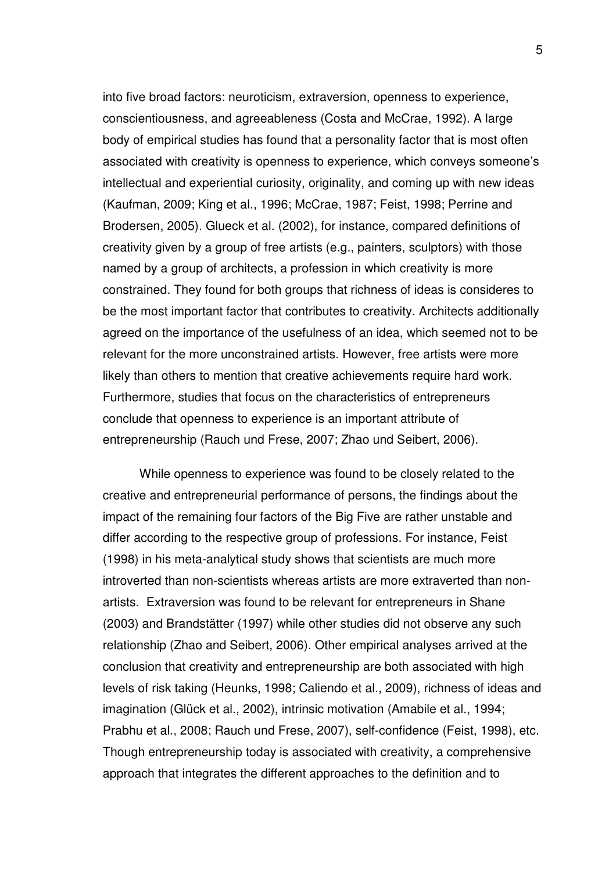into five broad factors: neuroticism, extraversion, openness to experience, conscientiousness, and agreeableness (Costa and McCrae, 1992). A large body of empirical studies has found that a personality factor that is most often associated with creativity is openness to experience, which conveys someone's intellectual and experiential curiosity, originality, and coming up with new ideas (Kaufman, 2009; King et al., 1996; McCrae, 1987; Feist, 1998; Perrine and Brodersen, 2005). Glueck et al. (2002), for instance, compared definitions of creativity given by a group of free artists (e.g., painters, sculptors) with those named by a group of architects, a profession in which creativity is more constrained. They found for both groups that richness of ideas is consideres to be the most important factor that contributes to creativity. Architects additionally agreed on the importance of the usefulness of an idea, which seemed not to be relevant for the more unconstrained artists. However, free artists were more likely than others to mention that creative achievements require hard work. Furthermore, studies that focus on the characteristics of entrepreneurs conclude that openness to experience is an important attribute of entrepreneurship (Rauch und Frese, 2007; Zhao und Seibert, 2006).

While openness to experience was found to be closely related to the creative and entrepreneurial performance of persons, the findings about the impact of the remaining four factors of the Big Five are rather unstable and differ according to the respective group of professions. For instance, Feist (1998) in his meta-analytical study shows that scientists are much more introverted than non-scientists whereas artists are more extraverted than nonartists. Extraversion was found to be relevant for entrepreneurs in Shane (2003) and Brandstätter (1997) while other studies did not observe any such relationship (Zhao and Seibert, 2006). Other empirical analyses arrived at the conclusion that creativity and entrepreneurship are both associated with high levels of risk taking (Heunks, 1998; Caliendo et al., 2009), richness of ideas and imagination (Glück et al., 2002), intrinsic motivation (Amabile et al., 1994; Prabhu et al., 2008; Rauch und Frese, 2007), self-confidence (Feist, 1998), etc. Though entrepreneurship today is associated with creativity, a comprehensive approach that integrates the different approaches to the definition and to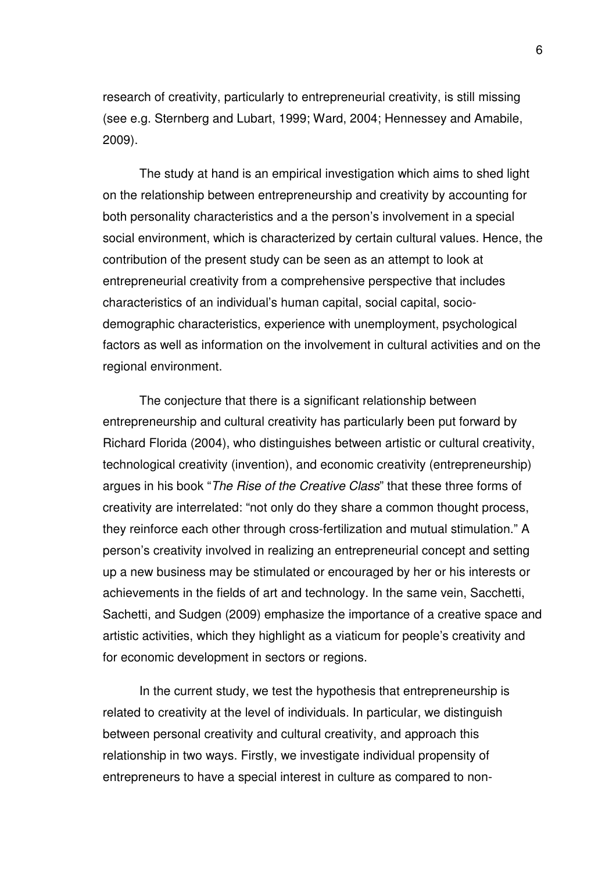research of creativity, particularly to entrepreneurial creativity, is still missing (see e.g. Sternberg and Lubart, 1999; Ward, 2004; Hennessey and Amabile, 2009).

The study at hand is an empirical investigation which aims to shed light on the relationship between entrepreneurship and creativity by accounting for both personality characteristics and a the person's involvement in a special social environment, which is characterized by certain cultural values. Hence, the contribution of the present study can be seen as an attempt to look at entrepreneurial creativity from a comprehensive perspective that includes characteristics of an individual's human capital, social capital, sociodemographic characteristics, experience with unemployment, psychological factors as well as information on the involvement in cultural activities and on the regional environment.

The conjecture that there is a significant relationship between entrepreneurship and cultural creativity has particularly been put forward by Richard Florida (2004), who distinguishes between artistic or cultural creativity, technological creativity (invention), and economic creativity (entrepreneurship) argues in his book "*The Rise of the Creative Class*" that these three forms of creativity are interrelated: "not only do they share a common thought process, they reinforce each other through cross-fertilization and mutual stimulation." A person's creativity involved in realizing an entrepreneurial concept and setting up a new business may be stimulated or encouraged by her or his interests or achievements in the fields of art and technology. In the same vein, Sacchetti, Sachetti, and Sudgen (2009) emphasize the importance of a creative space and artistic activities, which they highlight as a viaticum for people's creativity and for economic development in sectors or regions.

In the current study, we test the hypothesis that entrepreneurship is related to creativity at the level of individuals. In particular, we distinguish between personal creativity and cultural creativity, and approach this relationship in two ways. Firstly, we investigate individual propensity of entrepreneurs to have a special interest in culture as compared to non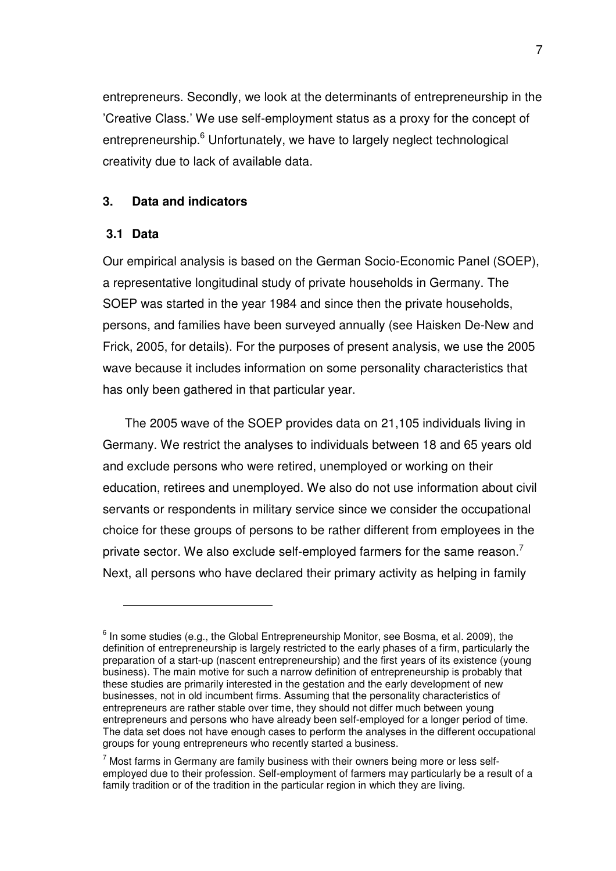entrepreneurs. Secondly, we look at the determinants of entrepreneurship in the 'Creative Class.' We use self-employment status as a proxy for the concept of entrepreneurship.<sup>6</sup> Unfortunately, we have to largely neglect technological creativity due to lack of available data.

## **3. Data and indicators**

## **3.1 Data**

 $\overline{a}$ 

Our empirical analysis is based on the German Socio-Economic Panel (SOEP), a representative longitudinal study of private households in Germany. The SOEP was started in the year 1984 and since then the private households, persons, and families have been surveyed annually (see Haisken De-New and Frick, 2005, for details). For the purposes of present analysis, we use the 2005 wave because it includes information on some personality characteristics that has only been gathered in that particular year.

The 2005 wave of the SOEP provides data on 21,105 individuals living in Germany. We restrict the analyses to individuals between 18 and 65 years old and exclude persons who were retired, unemployed or working on their education, retirees and unemployed. We also do not use information about civil servants or respondents in military service since we consider the occupational choice for these groups of persons to be rather different from employees in the private sector. We also exclude self-employed farmers for the same reason.<sup>7</sup> Next, all persons who have declared their primary activity as helping in family

 $<sup>6</sup>$  In some studies (e.g., the Global Entrepreneurship Monitor, see Bosma, et al. 2009), the</sup> definition of entrepreneurship is largely restricted to the early phases of a firm, particularly the preparation of a start-up (nascent entrepreneurship) and the first years of its existence (young business). The main motive for such a narrow definition of entrepreneurship is probably that these studies are primarily interested in the gestation and the early development of new businesses, not in old incumbent firms. Assuming that the personality characteristics of entrepreneurs are rather stable over time, they should not differ much between young entrepreneurs and persons who have already been self-employed for a longer period of time. The data set does not have enough cases to perform the analyses in the different occupational groups for young entrepreneurs who recently started a business.

 $<sup>7</sup>$  Most farms in Germany are family business with their owners being more or less self-</sup> employed due to their profession. Self-employment of farmers may particularly be a result of a family tradition or of the tradition in the particular region in which they are living.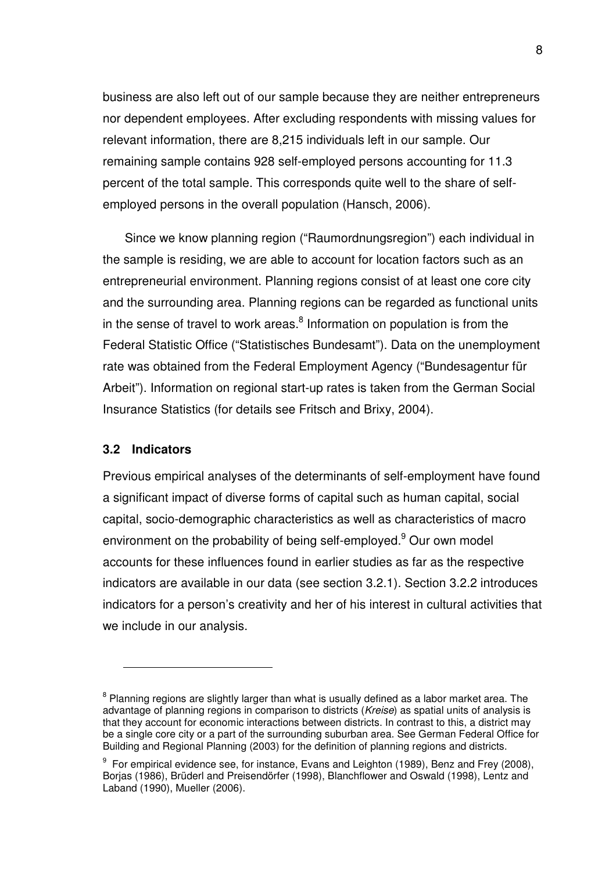business are also left out of our sample because they are neither entrepreneurs nor dependent employees. After excluding respondents with missing values for relevant information, there are 8,215 individuals left in our sample. Our remaining sample contains 928 self-employed persons accounting for 11.3 percent of the total sample. This corresponds quite well to the share of selfemployed persons in the overall population (Hansch, 2006).

Since we know planning region ("Raumordnungsregion") each individual in the sample is residing, we are able to account for location factors such as an entrepreneurial environment. Planning regions consist of at least one core city and the surrounding area. Planning regions can be regarded as functional units in the sense of travel to work areas. $8$  Information on population is from the Federal Statistic Office ("Statistisches Bundesamt"). Data on the unemployment rate was obtained from the Federal Employment Agency ("Bundesagentur für Arbeit"). Information on regional start-up rates is taken from the German Social Insurance Statistics (for details see Fritsch and Brixy, 2004).

#### **3.2 Indicators**

 $\overline{a}$ 

Previous empirical analyses of the determinants of self-employment have found a significant impact of diverse forms of capital such as human capital, social capital, socio-demographic characteristics as well as characteristics of macro environment on the probability of being self-employed.<sup>9</sup> Our own model accounts for these influences found in earlier studies as far as the respective indicators are available in our data (see section 3.2.1). Section 3.2.2 introduces indicators for a person's creativity and her of his interest in cultural activities that we include in our analysis.

 $^8$  Planning regions are slightly larger than what is usually defined as a labor market area. The advantage of planning regions in comparison to districts (*Kreise*) as spatial units of analysis is that they account for economic interactions between districts. In contrast to this, a district may be a single core city or a part of the surrounding suburban area. See German Federal Office for Building and Regional Planning (2003) for the definition of planning regions and districts.

 $9$  For empirical evidence see, for instance, Evans and Leighton (1989), Benz and Frey (2008), Borjas (1986), Brüderl and Preisendörfer (1998), Blanchflower and Oswald (1998), Lentz and Laband (1990), Mueller (2006).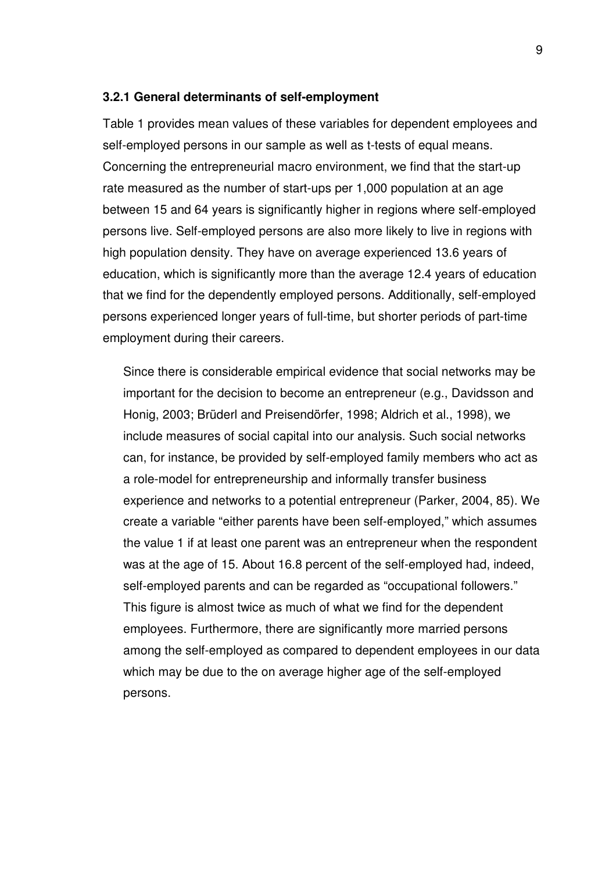#### **3.2.1 General determinants of self-employment**

Table 1 provides mean values of these variables for dependent employees and self-employed persons in our sample as well as t-tests of equal means. Concerning the entrepreneurial macro environment, we find that the start-up rate measured as the number of start-ups per 1,000 population at an age between 15 and 64 years is significantly higher in regions where self-employed persons live. Self-employed persons are also more likely to live in regions with high population density. They have on average experienced 13.6 years of education, which is significantly more than the average 12.4 years of education that we find for the dependently employed persons. Additionally, self-employed persons experienced longer years of full-time, but shorter periods of part-time employment during their careers.

Since there is considerable empirical evidence that social networks may be important for the decision to become an entrepreneur (e.g., Davidsson and Honig, 2003; Brüderl and Preisendörfer, 1998; Aldrich et al., 1998), we include measures of social capital into our analysis. Such social networks can, for instance, be provided by self-employed family members who act as a role-model for entrepreneurship and informally transfer business experience and networks to a potential entrepreneur (Parker, 2004, 85). We create a variable "either parents have been self-employed," which assumes the value 1 if at least one parent was an entrepreneur when the respondent was at the age of 15. About 16.8 percent of the self-employed had, indeed, self-employed parents and can be regarded as "occupational followers." This figure is almost twice as much of what we find for the dependent employees. Furthermore, there are significantly more married persons among the self-employed as compared to dependent employees in our data which may be due to the on average higher age of the self-employed persons.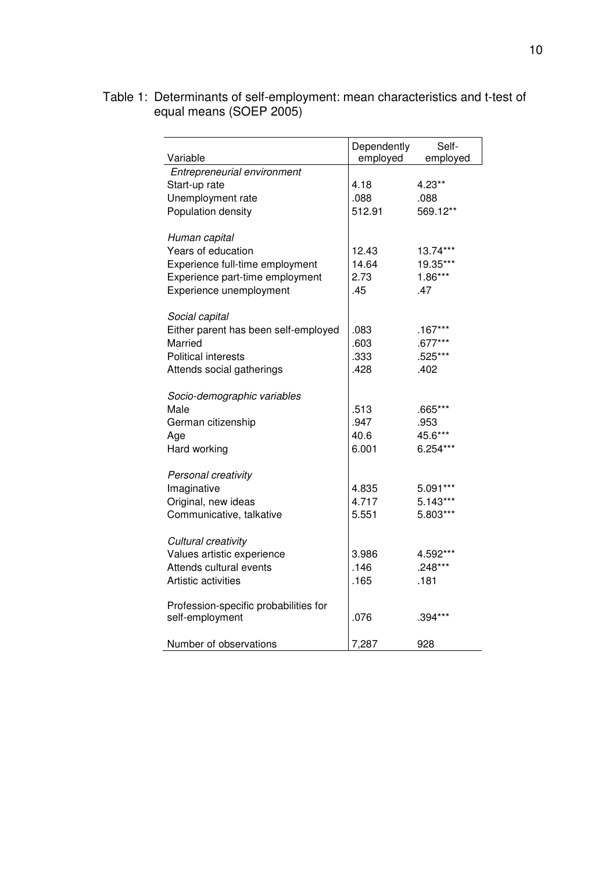#### Table 1: Determinants of self-employment: mean characteristics and t-test of equal means (SOEP 2005)

| Variable                              | Dependently<br>employed | Self-<br>employed |
|---------------------------------------|-------------------------|-------------------|
| Entrepreneurial environment           |                         |                   |
| Start-up rate                         | 4.18                    | 4.23**            |
| Unemployment rate                     | .088                    | .088              |
| Population density                    | 512.91                  | 569.12**          |
|                                       |                         |                   |
| Human capital                         |                         |                   |
| Years of education                    | 12.43                   | 13.74***          |
| Experience full-time employment       | 14.64                   | 19.35***          |
| Experience part-time employment       | 2.73                    | $1.86***$         |
| Experience unemployment               | .45                     | .47               |
|                                       |                         |                   |
| Social capital                        |                         |                   |
| Either parent has been self-employed  | .083                    | $.167***$         |
| Married                               | .603                    | $.677***$         |
| <b>Political interests</b>            | .333                    | .525***           |
| Attends social gatherings             | .428                    | .402              |
|                                       |                         |                   |
| Socio-demographic variables           |                         |                   |
| Male                                  | .513                    | .665***           |
| German citizenship                    | .947                    | .953              |
| Age                                   | 40.6                    | 45.6***           |
| Hard working                          | 6.001                   | 6.254***          |
|                                       |                         |                   |
| Personal creativity                   |                         |                   |
| Imaginative                           | 4.835                   | 5.091***          |
| Original, new ideas                   | 4.717                   | 5.143***          |
| Communicative, talkative              | 5.551                   | 5.803***          |
|                                       |                         |                   |
| Cultural creativity                   |                         |                   |
| Values artistic experience            | 3.986                   | 4.592***          |
| Attends cultural events               | .146                    | .248***           |
| Artistic activities                   | .165                    | .181              |
|                                       |                         |                   |
| Profession-specific probabilities for |                         |                   |
| self-employment                       | .076                    | $.394***$         |
| Number of observations                | 7,287                   | 928               |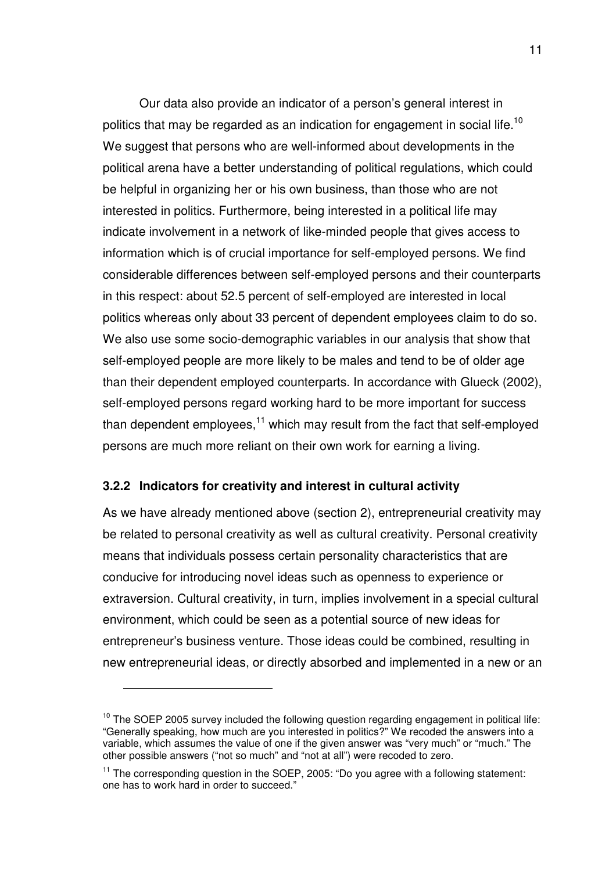Our data also provide an indicator of a person's general interest in politics that may be regarded as an indication for engagement in social life.<sup>10</sup> We suggest that persons who are well-informed about developments in the political arena have a better understanding of political regulations, which could be helpful in organizing her or his own business, than those who are not interested in politics. Furthermore, being interested in a political life may indicate involvement in a network of like-minded people that gives access to information which is of crucial importance for self-employed persons. We find considerable differences between self-employed persons and their counterparts in this respect: about 52.5 percent of self-employed are interested in local politics whereas only about 33 percent of dependent employees claim to do so. We also use some socio-demographic variables in our analysis that show that self-employed people are more likely to be males and tend to be of older age than their dependent employed counterparts. In accordance with Glueck (2002), self-employed persons regard working hard to be more important for success than dependent employees, $11$  which may result from the fact that self-employed persons are much more reliant on their own work for earning a living.

#### **3.2.2 Indicators for creativity and interest in cultural activity**

 $\overline{a}$ 

As we have already mentioned above (section 2), entrepreneurial creativity may be related to personal creativity as well as cultural creativity. Personal creativity means that individuals possess certain personality characteristics that are conducive for introducing novel ideas such as openness to experience or extraversion. Cultural creativity, in turn, implies involvement in a special cultural environment, which could be seen as a potential source of new ideas for entrepreneur's business venture. Those ideas could be combined, resulting in new entrepreneurial ideas, or directly absorbed and implemented in a new or an

 $10$  The SOEP 2005 survey included the following question regarding engagement in political life: "Generally speaking, how much are you interested in politics?" We recoded the answers into a variable, which assumes the value of one if the given answer was "very much" or "much." The other possible answers ("not so much" and "not at all") were recoded to zero.

<sup>&</sup>lt;sup>11</sup> The corresponding question in the SOEP, 2005: "Do you agree with a following statement: one has to work hard in order to succeed."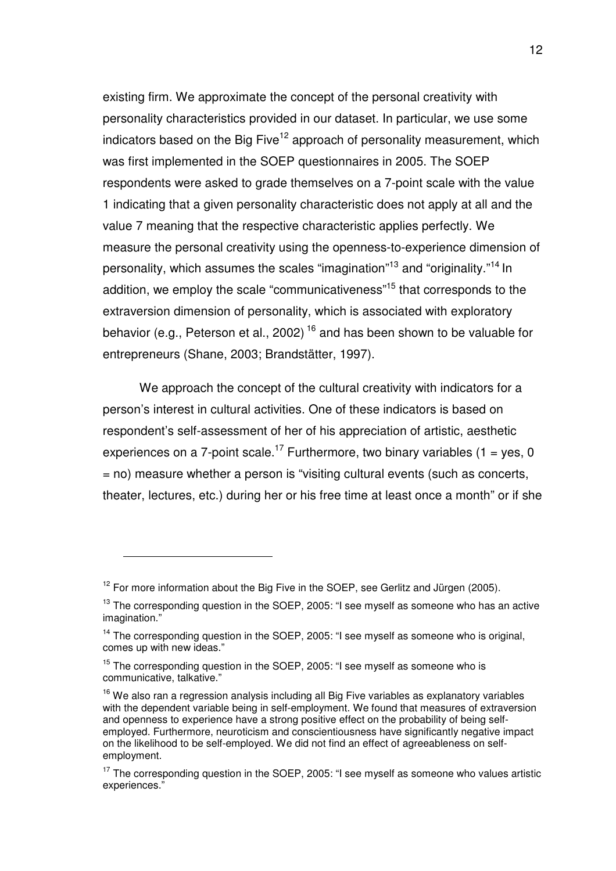existing firm. We approximate the concept of the personal creativity with personality characteristics provided in our dataset. In particular, we use some indicators based on the Big Five<sup>12</sup> approach of personality measurement, which was first implemented in the SOEP questionnaires in 2005. The SOEP respondents were asked to grade themselves on a 7-point scale with the value 1 indicating that a given personality characteristic does not apply at all and the value 7 meaning that the respective characteristic applies perfectly. We measure the personal creativity using the openness-to-experience dimension of personality, which assumes the scales "imagination"<sup>13</sup> and "originality."<sup>14</sup> In addition, we employ the scale "communicativeness"<sup>15</sup> that corresponds to the extraversion dimension of personality, which is associated with exploratory behavior (e.g., Peterson et al., 2002)<sup>16</sup> and has been shown to be valuable for entrepreneurs (Shane, 2003; Brandstätter, 1997).

We approach the concept of the cultural creativity with indicators for a person's interest in cultural activities. One of these indicators is based on respondent's self-assessment of her of his appreciation of artistic, aesthetic experiences on a 7-point scale.<sup>17</sup> Furthermore, two binary variables (1 = yes, 0) = no) measure whether a person is "visiting cultural events (such as concerts, theater, lectures, etc.) during her or his free time at least once a month" or if she

 $12$  For more information about the Big Five in the SOEP, see Gerlitz and Jürgen (2005).

 $13$  The corresponding question in the SOEP, 2005: "I see myself as someone who has an active imagination."

<sup>&</sup>lt;sup>14</sup> The corresponding question in the SOEP, 2005: "I see myself as someone who is original, comes up with new ideas."

 $15$  The corresponding question in the SOEP, 2005: "I see myself as someone who is communicative, talkative."

 $16$  We also ran a regression analysis including all Big Five variables as explanatory variables with the dependent variable being in self-employment. We found that measures of extraversion and openness to experience have a strong positive effect on the probability of being selfemployed. Furthermore, neuroticism and conscientiousness have significantly negative impact on the likelihood to be self-employed. We did not find an effect of agreeableness on selfemployment.

 $17$  The corresponding question in the SOEP, 2005: "I see myself as someone who values artistic experiences."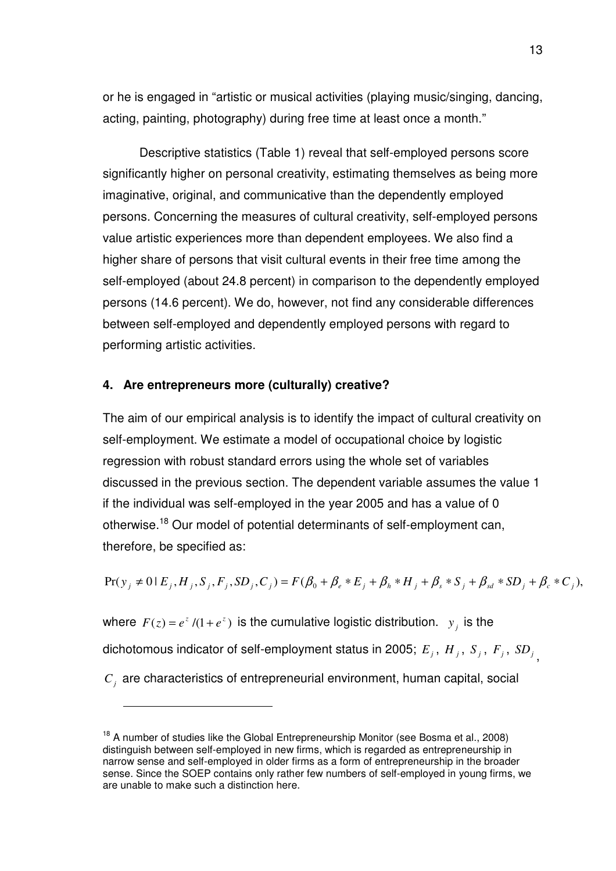or he is engaged in "artistic or musical activities (playing music/singing, dancing, acting, painting, photography) during free time at least once a month."

 Descriptive statistics (Table 1) reveal that self-employed persons score significantly higher on personal creativity, estimating themselves as being more imaginative, original, and communicative than the dependently employed persons. Concerning the measures of cultural creativity, self-employed persons value artistic experiences more than dependent employees. We also find a higher share of persons that visit cultural events in their free time among the self-employed (about 24.8 percent) in comparison to the dependently employed persons (14.6 percent). We do, however, not find any considerable differences between self-employed and dependently employed persons with regard to performing artistic activities.

### **4. Are entrepreneurs more (culturally) creative?**

 $\overline{a}$ 

The aim of our empirical analysis is to identify the impact of cultural creativity on self-employment. We estimate a model of occupational choice by logistic regression with robust standard errors using the whole set of variables discussed in the previous section. The dependent variable assumes the value 1 if the individual was self-employed in the year 2005 and has a value of 0 otherwise.<sup>18</sup> Our model of potential determinants of self-employment can, therefore, be specified as:

 $Pr(y_j \neq 0 | E_j, H_j, S_j, F_j, SD_j, C_j) = F(\beta_0 + \beta_e * E_j + \beta_h * H_j + \beta_s * S_j + \beta_{sd} * SD_j + \beta_c * C_j),$ 

where  $F(z) = e^{z}/(1 + e^{z})$  is the cumulative logistic distribution.  $y_j$  is the dichotomous indicator of self-employment status in 2005;  $E_j$  ,  $H_j$  ,  $S_j$  ,  $F_j$  ,  $SD_j$  <sub>,</sub> *Cj* are characteristics of entrepreneurial environment, human capital, social

 $18$  A number of studies like the Global Entrepreneurship Monitor (see Bosma et al., 2008) distinguish between self-employed in new firms, which is regarded as entrepreneurship in narrow sense and self-employed in older firms as a form of entrepreneurship in the broader sense. Since the SOEP contains only rather few numbers of self-employed in young firms, we are unable to make such a distinction here.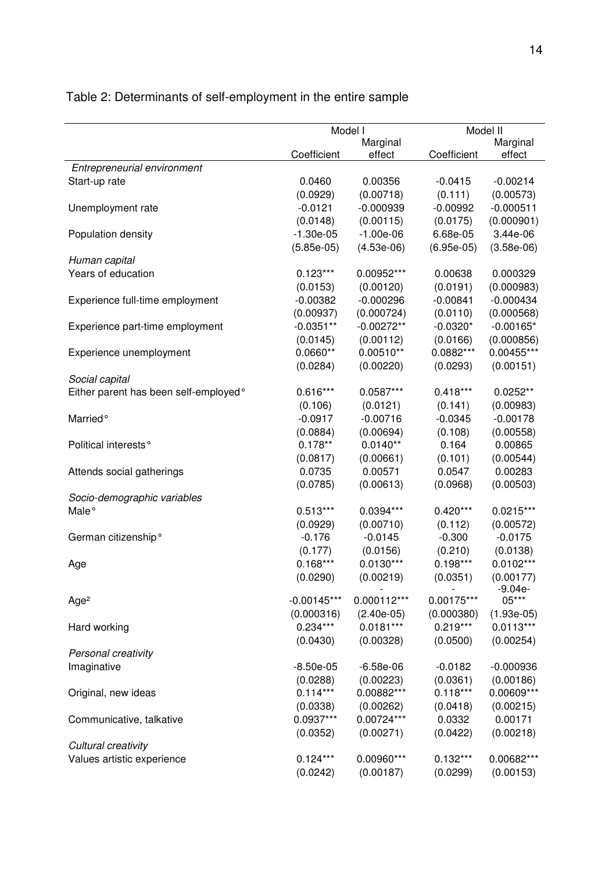| Model I<br>Model II<br>Marginal<br>Marginal<br>Coefficient<br>Coefficient<br>effect<br>effect<br>Entrepreneurial environment<br>0.0460<br>$-0.00214$<br>Start-up rate<br>0.00356<br>$-0.0415$<br>(0.00718)<br>(0.00573)<br>(0.0929)<br>(0.111)<br>$-0.0121$<br>$-0.000939$<br>$-0.00992$<br>$-0.000511$<br>Unemployment rate<br>(0.0148)<br>(0.00115)<br>(0.0175)<br>(0.000901)<br>3.44e-06<br>$-1.30e-05$<br>$-1.00e-06$<br>6.68e-05<br>Population density<br>$(6.95e-05)$<br>$(5.85e-05)$<br>$(4.53e-06)$<br>$(3.58e-06)$<br>Human capital<br>Years of education<br>$0.123***$<br>0.00952***<br>0.00638<br>0.000329<br>(0.0191)<br>(0.000983)<br>(0.0153)<br>(0.00120)<br>$-0.000296$<br>$-0.000434$<br>Experience full-time employment<br>$-0.00382$<br>$-0.00841$<br>(0.00937)<br>(0.000724)<br>(0.0110)<br>(0.000568)<br>$-0.0351**$<br>$-0.00272**$<br>$-0.0320*$<br>$-0.00165*$<br>Experience part-time employment<br>(0.0166)<br>(0.000856)<br>(0.0145)<br>(0.00112)<br>$0.0660**$<br>$0.00510**$<br>0.0882***<br>0.00455***<br>Experience unemployment<br>(0.00220)<br>(0.00151)<br>(0.0284)<br>(0.0293)<br>Social capital<br>Either parent has been self-employed°<br>$0.616***$<br>$0.0587***$<br>$0.418***$<br>$0.0252**$<br>(0.106)<br>(0.0121)<br>(0.141)<br>(0.00983)<br>Married <sup>o</sup><br>$-0.0917$<br>$-0.00716$<br>$-0.0345$<br>$-0.00178$<br>(0.00694)<br>(0.108)<br>(0.00558)<br>(0.0884)<br>$0.178**$<br>$0.0140**$<br>0.164<br>0.00865<br>Political interests <sup>°</sup><br>(0.00661)<br>(0.00544)<br>(0.0817)<br>(0.101)<br>0.0735<br>0.00571<br>0.0547<br>0.00283<br>Attends social gatherings<br>(0.0785)<br>(0.00613)<br>(0.00503)<br>(0.0968)<br>Socio-demographic variables<br>$0.513***$<br>$0.0394***$<br>$0.420***$<br>$0.0215***$<br>Male <sup>o</sup><br>(0.00710)<br>(0.0929)<br>(0.112)<br>(0.00572)<br>German citizenship°<br>$-0.176$<br>$-0.0145$<br>$-0.300$<br>$-0.0175$<br>(0.0156)<br>(0.210)<br>(0.0138)<br>(0.177)<br>$0.198***$<br>$0.0102***$<br>$0.168***$<br>$0.0130***$<br>Age<br>(0.0290)<br>(0.00219)<br>(0.0351)<br>(0.00177)<br>$-9.04e-$<br>05***<br>$0.000112***$<br>$-0.00145***$<br>0.00175***<br>Age <sup>2</sup><br>(0.000316)<br>$(2.40e-05)$<br>(0.000380)<br>$(1.93e-05)$<br>$0.234***$<br>$0.0181***$<br>$0.219***$<br>$0.0113***$<br>Hard working<br>(0.00328)<br>(0.0500)<br>(0.00254)<br>(0.0430)<br>Personal creativity<br>$-0.000936$<br>Imaginative<br>$-8.50e-05$<br>$-6.58e-06$<br>$-0.0182$<br>(0.0361)<br>(0.0288)<br>(0.00223)<br>(0.00186)<br>$0.114***$<br>0.00882***<br>$0.118***$<br>0.00609***<br>Original, new ideas<br>(0.00262)<br>(0.0418)<br>(0.00215)<br>(0.0338)<br>0.0937***<br>0.00724***<br>0.0332<br>0.00171<br>Communicative, talkative<br>(0.00218)<br>(0.0352)<br>(0.00271)<br>(0.0422)<br>Cultural creativity |                            |            |            |            |            |
|---------------------------------------------------------------------------------------------------------------------------------------------------------------------------------------------------------------------------------------------------------------------------------------------------------------------------------------------------------------------------------------------------------------------------------------------------------------------------------------------------------------------------------------------------------------------------------------------------------------------------------------------------------------------------------------------------------------------------------------------------------------------------------------------------------------------------------------------------------------------------------------------------------------------------------------------------------------------------------------------------------------------------------------------------------------------------------------------------------------------------------------------------------------------------------------------------------------------------------------------------------------------------------------------------------------------------------------------------------------------------------------------------------------------------------------------------------------------------------------------------------------------------------------------------------------------------------------------------------------------------------------------------------------------------------------------------------------------------------------------------------------------------------------------------------------------------------------------------------------------------------------------------------------------------------------------------------------------------------------------------------------------------------------------------------------------------------------------------------------------------------------------------------------------------------------------------------------------------------------------------------------------------------------------------------------------------------------------------------------------------------------------------------------------------------------------------------------------------------------------------------------------------------------------------------------------------------------------------------------------------------------------------------------------------------------------------------------------------------------------------------------------------------------------------------------------|----------------------------|------------|------------|------------|------------|
|                                                                                                                                                                                                                                                                                                                                                                                                                                                                                                                                                                                                                                                                                                                                                                                                                                                                                                                                                                                                                                                                                                                                                                                                                                                                                                                                                                                                                                                                                                                                                                                                                                                                                                                                                                                                                                                                                                                                                                                                                                                                                                                                                                                                                                                                                                                                                                                                                                                                                                                                                                                                                                                                                                                                                                                                                     |                            |            |            |            |            |
|                                                                                                                                                                                                                                                                                                                                                                                                                                                                                                                                                                                                                                                                                                                                                                                                                                                                                                                                                                                                                                                                                                                                                                                                                                                                                                                                                                                                                                                                                                                                                                                                                                                                                                                                                                                                                                                                                                                                                                                                                                                                                                                                                                                                                                                                                                                                                                                                                                                                                                                                                                                                                                                                                                                                                                                                                     |                            |            |            |            |            |
|                                                                                                                                                                                                                                                                                                                                                                                                                                                                                                                                                                                                                                                                                                                                                                                                                                                                                                                                                                                                                                                                                                                                                                                                                                                                                                                                                                                                                                                                                                                                                                                                                                                                                                                                                                                                                                                                                                                                                                                                                                                                                                                                                                                                                                                                                                                                                                                                                                                                                                                                                                                                                                                                                                                                                                                                                     |                            |            |            |            |            |
|                                                                                                                                                                                                                                                                                                                                                                                                                                                                                                                                                                                                                                                                                                                                                                                                                                                                                                                                                                                                                                                                                                                                                                                                                                                                                                                                                                                                                                                                                                                                                                                                                                                                                                                                                                                                                                                                                                                                                                                                                                                                                                                                                                                                                                                                                                                                                                                                                                                                                                                                                                                                                                                                                                                                                                                                                     |                            |            |            |            |            |
|                                                                                                                                                                                                                                                                                                                                                                                                                                                                                                                                                                                                                                                                                                                                                                                                                                                                                                                                                                                                                                                                                                                                                                                                                                                                                                                                                                                                                                                                                                                                                                                                                                                                                                                                                                                                                                                                                                                                                                                                                                                                                                                                                                                                                                                                                                                                                                                                                                                                                                                                                                                                                                                                                                                                                                                                                     |                            |            |            |            |            |
|                                                                                                                                                                                                                                                                                                                                                                                                                                                                                                                                                                                                                                                                                                                                                                                                                                                                                                                                                                                                                                                                                                                                                                                                                                                                                                                                                                                                                                                                                                                                                                                                                                                                                                                                                                                                                                                                                                                                                                                                                                                                                                                                                                                                                                                                                                                                                                                                                                                                                                                                                                                                                                                                                                                                                                                                                     |                            |            |            |            |            |
|                                                                                                                                                                                                                                                                                                                                                                                                                                                                                                                                                                                                                                                                                                                                                                                                                                                                                                                                                                                                                                                                                                                                                                                                                                                                                                                                                                                                                                                                                                                                                                                                                                                                                                                                                                                                                                                                                                                                                                                                                                                                                                                                                                                                                                                                                                                                                                                                                                                                                                                                                                                                                                                                                                                                                                                                                     |                            |            |            |            |            |
|                                                                                                                                                                                                                                                                                                                                                                                                                                                                                                                                                                                                                                                                                                                                                                                                                                                                                                                                                                                                                                                                                                                                                                                                                                                                                                                                                                                                                                                                                                                                                                                                                                                                                                                                                                                                                                                                                                                                                                                                                                                                                                                                                                                                                                                                                                                                                                                                                                                                                                                                                                                                                                                                                                                                                                                                                     |                            |            |            |            |            |
|                                                                                                                                                                                                                                                                                                                                                                                                                                                                                                                                                                                                                                                                                                                                                                                                                                                                                                                                                                                                                                                                                                                                                                                                                                                                                                                                                                                                                                                                                                                                                                                                                                                                                                                                                                                                                                                                                                                                                                                                                                                                                                                                                                                                                                                                                                                                                                                                                                                                                                                                                                                                                                                                                                                                                                                                                     |                            |            |            |            |            |
|                                                                                                                                                                                                                                                                                                                                                                                                                                                                                                                                                                                                                                                                                                                                                                                                                                                                                                                                                                                                                                                                                                                                                                                                                                                                                                                                                                                                                                                                                                                                                                                                                                                                                                                                                                                                                                                                                                                                                                                                                                                                                                                                                                                                                                                                                                                                                                                                                                                                                                                                                                                                                                                                                                                                                                                                                     |                            |            |            |            |            |
|                                                                                                                                                                                                                                                                                                                                                                                                                                                                                                                                                                                                                                                                                                                                                                                                                                                                                                                                                                                                                                                                                                                                                                                                                                                                                                                                                                                                                                                                                                                                                                                                                                                                                                                                                                                                                                                                                                                                                                                                                                                                                                                                                                                                                                                                                                                                                                                                                                                                                                                                                                                                                                                                                                                                                                                                                     |                            |            |            |            |            |
|                                                                                                                                                                                                                                                                                                                                                                                                                                                                                                                                                                                                                                                                                                                                                                                                                                                                                                                                                                                                                                                                                                                                                                                                                                                                                                                                                                                                                                                                                                                                                                                                                                                                                                                                                                                                                                                                                                                                                                                                                                                                                                                                                                                                                                                                                                                                                                                                                                                                                                                                                                                                                                                                                                                                                                                                                     |                            |            |            |            |            |
|                                                                                                                                                                                                                                                                                                                                                                                                                                                                                                                                                                                                                                                                                                                                                                                                                                                                                                                                                                                                                                                                                                                                                                                                                                                                                                                                                                                                                                                                                                                                                                                                                                                                                                                                                                                                                                                                                                                                                                                                                                                                                                                                                                                                                                                                                                                                                                                                                                                                                                                                                                                                                                                                                                                                                                                                                     |                            |            |            |            |            |
|                                                                                                                                                                                                                                                                                                                                                                                                                                                                                                                                                                                                                                                                                                                                                                                                                                                                                                                                                                                                                                                                                                                                                                                                                                                                                                                                                                                                                                                                                                                                                                                                                                                                                                                                                                                                                                                                                                                                                                                                                                                                                                                                                                                                                                                                                                                                                                                                                                                                                                                                                                                                                                                                                                                                                                                                                     |                            |            |            |            |            |
|                                                                                                                                                                                                                                                                                                                                                                                                                                                                                                                                                                                                                                                                                                                                                                                                                                                                                                                                                                                                                                                                                                                                                                                                                                                                                                                                                                                                                                                                                                                                                                                                                                                                                                                                                                                                                                                                                                                                                                                                                                                                                                                                                                                                                                                                                                                                                                                                                                                                                                                                                                                                                                                                                                                                                                                                                     |                            |            |            |            |            |
|                                                                                                                                                                                                                                                                                                                                                                                                                                                                                                                                                                                                                                                                                                                                                                                                                                                                                                                                                                                                                                                                                                                                                                                                                                                                                                                                                                                                                                                                                                                                                                                                                                                                                                                                                                                                                                                                                                                                                                                                                                                                                                                                                                                                                                                                                                                                                                                                                                                                                                                                                                                                                                                                                                                                                                                                                     |                            |            |            |            |            |
|                                                                                                                                                                                                                                                                                                                                                                                                                                                                                                                                                                                                                                                                                                                                                                                                                                                                                                                                                                                                                                                                                                                                                                                                                                                                                                                                                                                                                                                                                                                                                                                                                                                                                                                                                                                                                                                                                                                                                                                                                                                                                                                                                                                                                                                                                                                                                                                                                                                                                                                                                                                                                                                                                                                                                                                                                     |                            |            |            |            |            |
|                                                                                                                                                                                                                                                                                                                                                                                                                                                                                                                                                                                                                                                                                                                                                                                                                                                                                                                                                                                                                                                                                                                                                                                                                                                                                                                                                                                                                                                                                                                                                                                                                                                                                                                                                                                                                                                                                                                                                                                                                                                                                                                                                                                                                                                                                                                                                                                                                                                                                                                                                                                                                                                                                                                                                                                                                     |                            |            |            |            |            |
|                                                                                                                                                                                                                                                                                                                                                                                                                                                                                                                                                                                                                                                                                                                                                                                                                                                                                                                                                                                                                                                                                                                                                                                                                                                                                                                                                                                                                                                                                                                                                                                                                                                                                                                                                                                                                                                                                                                                                                                                                                                                                                                                                                                                                                                                                                                                                                                                                                                                                                                                                                                                                                                                                                                                                                                                                     |                            |            |            |            |            |
|                                                                                                                                                                                                                                                                                                                                                                                                                                                                                                                                                                                                                                                                                                                                                                                                                                                                                                                                                                                                                                                                                                                                                                                                                                                                                                                                                                                                                                                                                                                                                                                                                                                                                                                                                                                                                                                                                                                                                                                                                                                                                                                                                                                                                                                                                                                                                                                                                                                                                                                                                                                                                                                                                                                                                                                                                     |                            |            |            |            |            |
|                                                                                                                                                                                                                                                                                                                                                                                                                                                                                                                                                                                                                                                                                                                                                                                                                                                                                                                                                                                                                                                                                                                                                                                                                                                                                                                                                                                                                                                                                                                                                                                                                                                                                                                                                                                                                                                                                                                                                                                                                                                                                                                                                                                                                                                                                                                                                                                                                                                                                                                                                                                                                                                                                                                                                                                                                     |                            |            |            |            |            |
|                                                                                                                                                                                                                                                                                                                                                                                                                                                                                                                                                                                                                                                                                                                                                                                                                                                                                                                                                                                                                                                                                                                                                                                                                                                                                                                                                                                                                                                                                                                                                                                                                                                                                                                                                                                                                                                                                                                                                                                                                                                                                                                                                                                                                                                                                                                                                                                                                                                                                                                                                                                                                                                                                                                                                                                                                     |                            |            |            |            |            |
|                                                                                                                                                                                                                                                                                                                                                                                                                                                                                                                                                                                                                                                                                                                                                                                                                                                                                                                                                                                                                                                                                                                                                                                                                                                                                                                                                                                                                                                                                                                                                                                                                                                                                                                                                                                                                                                                                                                                                                                                                                                                                                                                                                                                                                                                                                                                                                                                                                                                                                                                                                                                                                                                                                                                                                                                                     |                            |            |            |            |            |
|                                                                                                                                                                                                                                                                                                                                                                                                                                                                                                                                                                                                                                                                                                                                                                                                                                                                                                                                                                                                                                                                                                                                                                                                                                                                                                                                                                                                                                                                                                                                                                                                                                                                                                                                                                                                                                                                                                                                                                                                                                                                                                                                                                                                                                                                                                                                                                                                                                                                                                                                                                                                                                                                                                                                                                                                                     |                            |            |            |            |            |
|                                                                                                                                                                                                                                                                                                                                                                                                                                                                                                                                                                                                                                                                                                                                                                                                                                                                                                                                                                                                                                                                                                                                                                                                                                                                                                                                                                                                                                                                                                                                                                                                                                                                                                                                                                                                                                                                                                                                                                                                                                                                                                                                                                                                                                                                                                                                                                                                                                                                                                                                                                                                                                                                                                                                                                                                                     |                            |            |            |            |            |
|                                                                                                                                                                                                                                                                                                                                                                                                                                                                                                                                                                                                                                                                                                                                                                                                                                                                                                                                                                                                                                                                                                                                                                                                                                                                                                                                                                                                                                                                                                                                                                                                                                                                                                                                                                                                                                                                                                                                                                                                                                                                                                                                                                                                                                                                                                                                                                                                                                                                                                                                                                                                                                                                                                                                                                                                                     |                            |            |            |            |            |
|                                                                                                                                                                                                                                                                                                                                                                                                                                                                                                                                                                                                                                                                                                                                                                                                                                                                                                                                                                                                                                                                                                                                                                                                                                                                                                                                                                                                                                                                                                                                                                                                                                                                                                                                                                                                                                                                                                                                                                                                                                                                                                                                                                                                                                                                                                                                                                                                                                                                                                                                                                                                                                                                                                                                                                                                                     |                            |            |            |            |            |
|                                                                                                                                                                                                                                                                                                                                                                                                                                                                                                                                                                                                                                                                                                                                                                                                                                                                                                                                                                                                                                                                                                                                                                                                                                                                                                                                                                                                                                                                                                                                                                                                                                                                                                                                                                                                                                                                                                                                                                                                                                                                                                                                                                                                                                                                                                                                                                                                                                                                                                                                                                                                                                                                                                                                                                                                                     |                            |            |            |            |            |
|                                                                                                                                                                                                                                                                                                                                                                                                                                                                                                                                                                                                                                                                                                                                                                                                                                                                                                                                                                                                                                                                                                                                                                                                                                                                                                                                                                                                                                                                                                                                                                                                                                                                                                                                                                                                                                                                                                                                                                                                                                                                                                                                                                                                                                                                                                                                                                                                                                                                                                                                                                                                                                                                                                                                                                                                                     |                            |            |            |            |            |
|                                                                                                                                                                                                                                                                                                                                                                                                                                                                                                                                                                                                                                                                                                                                                                                                                                                                                                                                                                                                                                                                                                                                                                                                                                                                                                                                                                                                                                                                                                                                                                                                                                                                                                                                                                                                                                                                                                                                                                                                                                                                                                                                                                                                                                                                                                                                                                                                                                                                                                                                                                                                                                                                                                                                                                                                                     |                            |            |            |            |            |
|                                                                                                                                                                                                                                                                                                                                                                                                                                                                                                                                                                                                                                                                                                                                                                                                                                                                                                                                                                                                                                                                                                                                                                                                                                                                                                                                                                                                                                                                                                                                                                                                                                                                                                                                                                                                                                                                                                                                                                                                                                                                                                                                                                                                                                                                                                                                                                                                                                                                                                                                                                                                                                                                                                                                                                                                                     |                            |            |            |            |            |
|                                                                                                                                                                                                                                                                                                                                                                                                                                                                                                                                                                                                                                                                                                                                                                                                                                                                                                                                                                                                                                                                                                                                                                                                                                                                                                                                                                                                                                                                                                                                                                                                                                                                                                                                                                                                                                                                                                                                                                                                                                                                                                                                                                                                                                                                                                                                                                                                                                                                                                                                                                                                                                                                                                                                                                                                                     |                            |            |            |            |            |
|                                                                                                                                                                                                                                                                                                                                                                                                                                                                                                                                                                                                                                                                                                                                                                                                                                                                                                                                                                                                                                                                                                                                                                                                                                                                                                                                                                                                                                                                                                                                                                                                                                                                                                                                                                                                                                                                                                                                                                                                                                                                                                                                                                                                                                                                                                                                                                                                                                                                                                                                                                                                                                                                                                                                                                                                                     |                            |            |            |            |            |
|                                                                                                                                                                                                                                                                                                                                                                                                                                                                                                                                                                                                                                                                                                                                                                                                                                                                                                                                                                                                                                                                                                                                                                                                                                                                                                                                                                                                                                                                                                                                                                                                                                                                                                                                                                                                                                                                                                                                                                                                                                                                                                                                                                                                                                                                                                                                                                                                                                                                                                                                                                                                                                                                                                                                                                                                                     |                            |            |            |            |            |
|                                                                                                                                                                                                                                                                                                                                                                                                                                                                                                                                                                                                                                                                                                                                                                                                                                                                                                                                                                                                                                                                                                                                                                                                                                                                                                                                                                                                                                                                                                                                                                                                                                                                                                                                                                                                                                                                                                                                                                                                                                                                                                                                                                                                                                                                                                                                                                                                                                                                                                                                                                                                                                                                                                                                                                                                                     |                            |            |            |            |            |
|                                                                                                                                                                                                                                                                                                                                                                                                                                                                                                                                                                                                                                                                                                                                                                                                                                                                                                                                                                                                                                                                                                                                                                                                                                                                                                                                                                                                                                                                                                                                                                                                                                                                                                                                                                                                                                                                                                                                                                                                                                                                                                                                                                                                                                                                                                                                                                                                                                                                                                                                                                                                                                                                                                                                                                                                                     |                            |            |            |            |            |
|                                                                                                                                                                                                                                                                                                                                                                                                                                                                                                                                                                                                                                                                                                                                                                                                                                                                                                                                                                                                                                                                                                                                                                                                                                                                                                                                                                                                                                                                                                                                                                                                                                                                                                                                                                                                                                                                                                                                                                                                                                                                                                                                                                                                                                                                                                                                                                                                                                                                                                                                                                                                                                                                                                                                                                                                                     |                            |            |            |            |            |
|                                                                                                                                                                                                                                                                                                                                                                                                                                                                                                                                                                                                                                                                                                                                                                                                                                                                                                                                                                                                                                                                                                                                                                                                                                                                                                                                                                                                                                                                                                                                                                                                                                                                                                                                                                                                                                                                                                                                                                                                                                                                                                                                                                                                                                                                                                                                                                                                                                                                                                                                                                                                                                                                                                                                                                                                                     |                            |            |            |            |            |
|                                                                                                                                                                                                                                                                                                                                                                                                                                                                                                                                                                                                                                                                                                                                                                                                                                                                                                                                                                                                                                                                                                                                                                                                                                                                                                                                                                                                                                                                                                                                                                                                                                                                                                                                                                                                                                                                                                                                                                                                                                                                                                                                                                                                                                                                                                                                                                                                                                                                                                                                                                                                                                                                                                                                                                                                                     |                            |            |            |            |            |
|                                                                                                                                                                                                                                                                                                                                                                                                                                                                                                                                                                                                                                                                                                                                                                                                                                                                                                                                                                                                                                                                                                                                                                                                                                                                                                                                                                                                                                                                                                                                                                                                                                                                                                                                                                                                                                                                                                                                                                                                                                                                                                                                                                                                                                                                                                                                                                                                                                                                                                                                                                                                                                                                                                                                                                                                                     |                            |            |            |            |            |
|                                                                                                                                                                                                                                                                                                                                                                                                                                                                                                                                                                                                                                                                                                                                                                                                                                                                                                                                                                                                                                                                                                                                                                                                                                                                                                                                                                                                                                                                                                                                                                                                                                                                                                                                                                                                                                                                                                                                                                                                                                                                                                                                                                                                                                                                                                                                                                                                                                                                                                                                                                                                                                                                                                                                                                                                                     |                            |            |            |            |            |
|                                                                                                                                                                                                                                                                                                                                                                                                                                                                                                                                                                                                                                                                                                                                                                                                                                                                                                                                                                                                                                                                                                                                                                                                                                                                                                                                                                                                                                                                                                                                                                                                                                                                                                                                                                                                                                                                                                                                                                                                                                                                                                                                                                                                                                                                                                                                                                                                                                                                                                                                                                                                                                                                                                                                                                                                                     |                            |            |            |            |            |
|                                                                                                                                                                                                                                                                                                                                                                                                                                                                                                                                                                                                                                                                                                                                                                                                                                                                                                                                                                                                                                                                                                                                                                                                                                                                                                                                                                                                                                                                                                                                                                                                                                                                                                                                                                                                                                                                                                                                                                                                                                                                                                                                                                                                                                                                                                                                                                                                                                                                                                                                                                                                                                                                                                                                                                                                                     |                            |            |            |            |            |
|                                                                                                                                                                                                                                                                                                                                                                                                                                                                                                                                                                                                                                                                                                                                                                                                                                                                                                                                                                                                                                                                                                                                                                                                                                                                                                                                                                                                                                                                                                                                                                                                                                                                                                                                                                                                                                                                                                                                                                                                                                                                                                                                                                                                                                                                                                                                                                                                                                                                                                                                                                                                                                                                                                                                                                                                                     |                            |            |            |            |            |
|                                                                                                                                                                                                                                                                                                                                                                                                                                                                                                                                                                                                                                                                                                                                                                                                                                                                                                                                                                                                                                                                                                                                                                                                                                                                                                                                                                                                                                                                                                                                                                                                                                                                                                                                                                                                                                                                                                                                                                                                                                                                                                                                                                                                                                                                                                                                                                                                                                                                                                                                                                                                                                                                                                                                                                                                                     |                            |            |            |            |            |
|                                                                                                                                                                                                                                                                                                                                                                                                                                                                                                                                                                                                                                                                                                                                                                                                                                                                                                                                                                                                                                                                                                                                                                                                                                                                                                                                                                                                                                                                                                                                                                                                                                                                                                                                                                                                                                                                                                                                                                                                                                                                                                                                                                                                                                                                                                                                                                                                                                                                                                                                                                                                                                                                                                                                                                                                                     |                            |            |            |            |            |
|                                                                                                                                                                                                                                                                                                                                                                                                                                                                                                                                                                                                                                                                                                                                                                                                                                                                                                                                                                                                                                                                                                                                                                                                                                                                                                                                                                                                                                                                                                                                                                                                                                                                                                                                                                                                                                                                                                                                                                                                                                                                                                                                                                                                                                                                                                                                                                                                                                                                                                                                                                                                                                                                                                                                                                                                                     |                            |            |            |            |            |
|                                                                                                                                                                                                                                                                                                                                                                                                                                                                                                                                                                                                                                                                                                                                                                                                                                                                                                                                                                                                                                                                                                                                                                                                                                                                                                                                                                                                                                                                                                                                                                                                                                                                                                                                                                                                                                                                                                                                                                                                                                                                                                                                                                                                                                                                                                                                                                                                                                                                                                                                                                                                                                                                                                                                                                                                                     |                            |            |            |            |            |
|                                                                                                                                                                                                                                                                                                                                                                                                                                                                                                                                                                                                                                                                                                                                                                                                                                                                                                                                                                                                                                                                                                                                                                                                                                                                                                                                                                                                                                                                                                                                                                                                                                                                                                                                                                                                                                                                                                                                                                                                                                                                                                                                                                                                                                                                                                                                                                                                                                                                                                                                                                                                                                                                                                                                                                                                                     | Values artistic experience | $0.124***$ | 0.00960*** | $0.132***$ | 0.00682*** |
| (0.0242)<br>(0.00187)<br>(0.0299)<br>(0.00153)                                                                                                                                                                                                                                                                                                                                                                                                                                                                                                                                                                                                                                                                                                                                                                                                                                                                                                                                                                                                                                                                                                                                                                                                                                                                                                                                                                                                                                                                                                                                                                                                                                                                                                                                                                                                                                                                                                                                                                                                                                                                                                                                                                                                                                                                                                                                                                                                                                                                                                                                                                                                                                                                                                                                                                      |                            |            |            |            |            |

# Table 2: Determinants of self-employment in the entire sample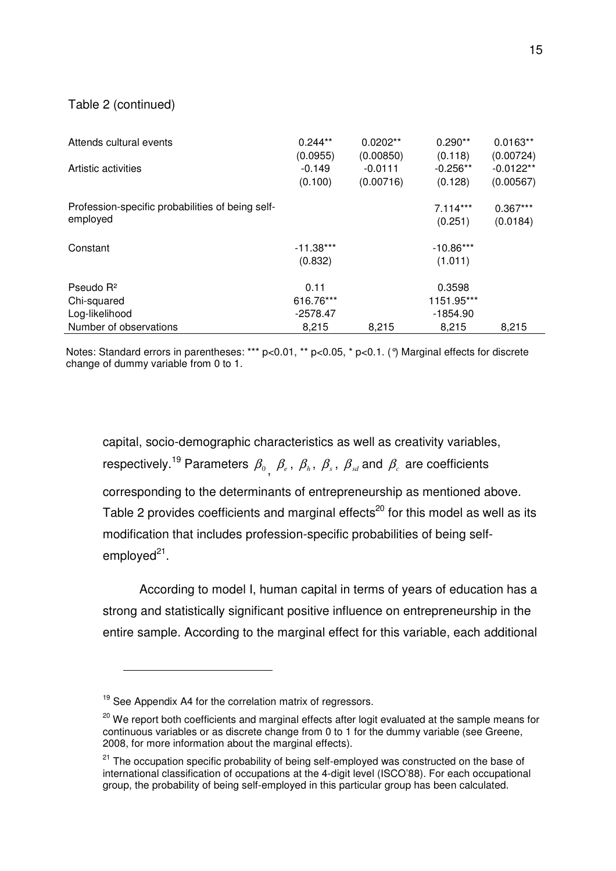### Table 2 (continued)

 $\overline{a}$ 

| Attends cultural events<br>Artistic activities               | $0.244**$<br>(0.0955)<br>$-0.149$ | $0.0202**$<br>(0.00850)<br>$-0.0111$ | $0.290**$<br>(0.118)<br>$-0.256**$ | $0.0163**$<br>(0.00724)<br>$-0.0122**$ |
|--------------------------------------------------------------|-----------------------------------|--------------------------------------|------------------------------------|----------------------------------------|
|                                                              | (0.100)                           | (0.00716)                            | (0.128)                            | (0.00567)                              |
| Profession-specific probabilities of being self-<br>employed |                                   |                                      | $7.114***$<br>(0.251)              | $0.367***$<br>(0.0184)                 |
| Constant                                                     | $-11.38***$<br>(0.832)            |                                      | $-10.86***$<br>(1.011)             |                                        |
| Pseudo $R^2$                                                 | 0.11                              |                                      | 0.3598                             |                                        |
| Chi-squared                                                  | 616.76***                         |                                      | 1151.95***                         |                                        |
| Log-likelihood                                               | $-2578.47$                        |                                      | $-1854.90$                         |                                        |
| Number of observations                                       | 8,215                             | 8,215                                | 8.215                              | 8.215                                  |

Notes: Standard errors in parentheses: \*\*\* p<0.01, \*\* p<0.05, \* p<0.1. (°) Marginal effects for discrete change of dummy variable from 0 to 1.

capital, socio-demographic characteristics as well as creativity variables, respectively.<sup>19</sup> Parameters  $\beta_{0}^{},\ \beta_{e}^{},\ \beta_{h}^{},\ \beta_{s}^{},\ \beta_{sd}^{}$  and  $\beta_{c}^{}$  are coefficients corresponding to the determinants of entrepreneurship as mentioned above. Table 2 provides coefficients and marginal effects<sup>20</sup> for this model as well as its modification that includes profession-specific probabilities of being selfemployed<sup>21</sup>.

According to model I, human capital in terms of years of education has a strong and statistically significant positive influence on entrepreneurship in the entire sample. According to the marginal effect for this variable, each additional

<sup>&</sup>lt;sup>19</sup> See Appendix A4 for the correlation matrix of regressors.

<sup>&</sup>lt;sup>20</sup> We report both coefficients and marginal effects after logit evaluated at the sample means for continuous variables or as discrete change from 0 to 1 for the dummy variable (see Greene, 2008, for more information about the marginal effects).

<sup>&</sup>lt;sup>21</sup> The occupation specific probability of being self-employed was constructed on the base of international classification of occupations at the 4-digit level (ISCO'88). For each occupational group, the probability of being self-employed in this particular group has been calculated.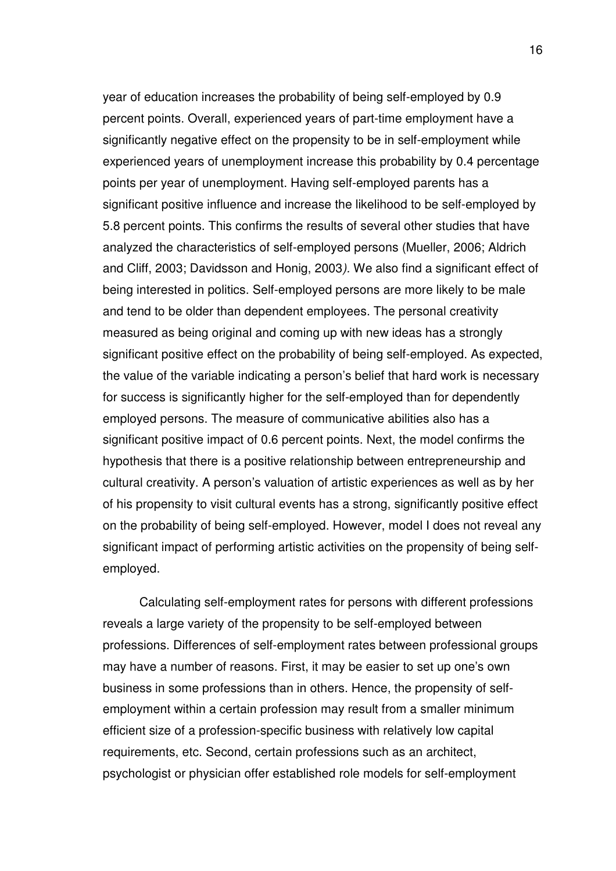year of education increases the probability of being self-employed by 0.9 percent points. Overall, experienced years of part-time employment have a significantly negative effect on the propensity to be in self-employment while experienced years of unemployment increase this probability by 0.4 percentage points per year of unemployment. Having self-employed parents has a significant positive influence and increase the likelihood to be self-employed by 5.8 percent points. This confirms the results of several other studies that have analyzed the characteristics of self-employed persons (Mueller, 2006; Aldrich and Cliff, 2003; Davidsson and Honig, 2003*).* We also find a significant effect of being interested in politics. Self-employed persons are more likely to be male and tend to be older than dependent employees. The personal creativity measured as being original and coming up with new ideas has a strongly significant positive effect on the probability of being self-employed. As expected, the value of the variable indicating a person's belief that hard work is necessary for success is significantly higher for the self-employed than for dependently employed persons. The measure of communicative abilities also has a significant positive impact of 0.6 percent points. Next, the model confirms the hypothesis that there is a positive relationship between entrepreneurship and cultural creativity. A person's valuation of artistic experiences as well as by her of his propensity to visit cultural events has a strong, significantly positive effect on the probability of being self-employed. However, model I does not reveal any significant impact of performing artistic activities on the propensity of being selfemployed.

Calculating self-employment rates for persons with different professions reveals a large variety of the propensity to be self-employed between professions. Differences of self-employment rates between professional groups may have a number of reasons. First, it may be easier to set up one's own business in some professions than in others. Hence, the propensity of selfemployment within a certain profession may result from a smaller minimum efficient size of a profession-specific business with relatively low capital requirements, etc. Second, certain professions such as an architect, psychologist or physician offer established role models for self-employment

16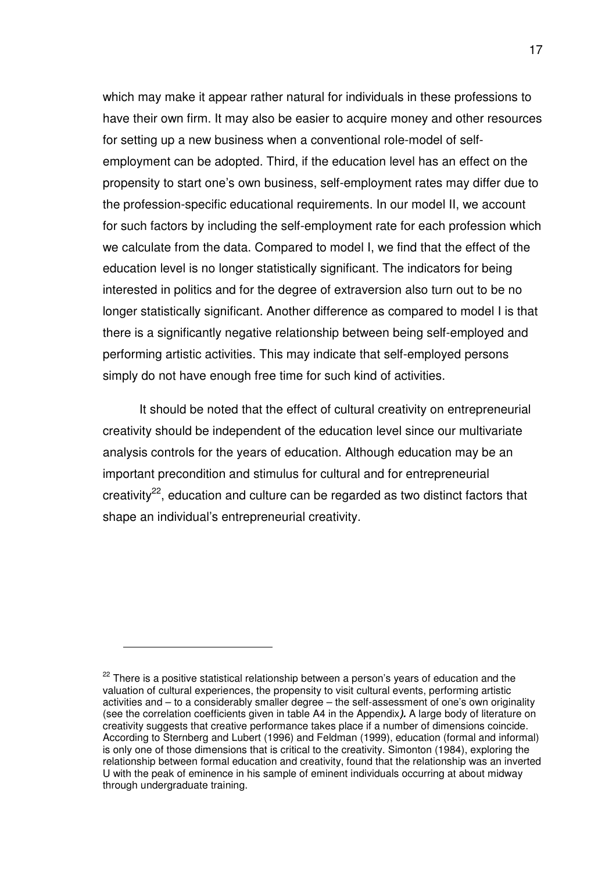which may make it appear rather natural for individuals in these professions to have their own firm. It may also be easier to acquire money and other resources for setting up a new business when a conventional role-model of selfemployment can be adopted. Third, if the education level has an effect on the propensity to start one's own business, self-employment rates may differ due to the profession-specific educational requirements. In our model II, we account for such factors by including the self-employment rate for each profession which we calculate from the data. Compared to model I, we find that the effect of the education level is no longer statistically significant. The indicators for being interested in politics and for the degree of extraversion also turn out to be no longer statistically significant. Another difference as compared to model I is that there is a significantly negative relationship between being self-employed and performing artistic activities. This may indicate that self-employed persons simply do not have enough free time for such kind of activities.

It should be noted that the effect of cultural creativity on entrepreneurial creativity should be independent of the education level since our multivariate analysis controls for the years of education. Although education may be an important precondition and stimulus for cultural and for entrepreneurial creativity<sup>22</sup>, education and culture can be regarded as two distinct factors that shape an individual's entrepreneurial creativity.

 $22$  There is a positive statistical relationship between a person's years of education and the valuation of cultural experiences, the propensity to visit cultural events, performing artistic activities and – to a considerably smaller degree – the self-assessment of one's own originality (see the correlation coefficients given in table A4 in the Appendix**).** A large body of literature on creativity suggests that creative performance takes place if a number of dimensions coincide. According to Sternberg and Lubert (1996) and Feldman (1999), education (formal and informal) is only one of those dimensions that is critical to the creativity. Simonton (1984), exploring the relationship between formal education and creativity, found that the relationship was an inverted U with the peak of eminence in his sample of eminent individuals occurring at about midway through undergraduate training.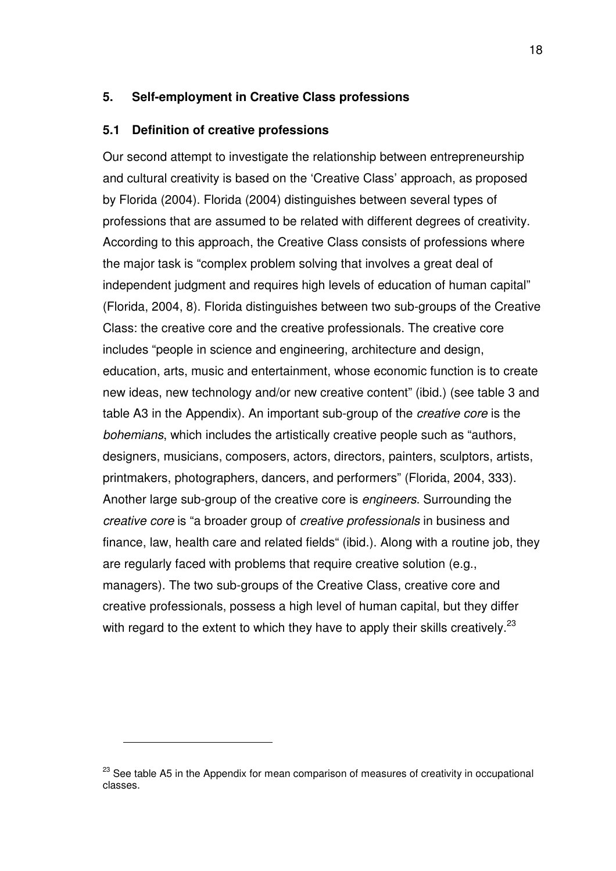### **5. Self-employment in Creative Class professions**

#### **5.1 Definition of creative professions**

Our second attempt to investigate the relationship between entrepreneurship and cultural creativity is based on the 'Creative Class' approach, as proposed by Florida (2004). Florida (2004) distinguishes between several types of professions that are assumed to be related with different degrees of creativity. According to this approach, the Creative Class consists of professions where the major task is "complex problem solving that involves a great deal of independent judgment and requires high levels of education of human capital" (Florida, 2004, 8). Florida distinguishes between two sub-groups of the Creative Class: the creative core and the creative professionals. The creative core includes "people in science and engineering, architecture and design, education, arts, music and entertainment, whose economic function is to create new ideas, new technology and/or new creative content" (ibid.) (see table 3 and table A3 in the Appendix). An important sub-group of the *creative core* is the *bohemians*, which includes the artistically creative people such as "authors, designers, musicians, composers, actors, directors, painters, sculptors, artists, printmakers, photographers, dancers, and performers" (Florida, 2004, 333). Another large sub-group of the creative core is *engineers*. Surrounding the *creative core* is "a broader group of *creative professionals* in business and finance, law, health care and related fields" (ibid.). Along with a routine job, they are regularly faced with problems that require creative solution (e.g., managers). The two sub-groups of the Creative Class, creative core and creative professionals, possess a high level of human capital, but they differ with regard to the extent to which they have to apply their skills creatively.<sup>23</sup>

<sup>&</sup>lt;sup>23</sup> See table A5 in the Appendix for mean comparison of measures of creativity in occupational classes.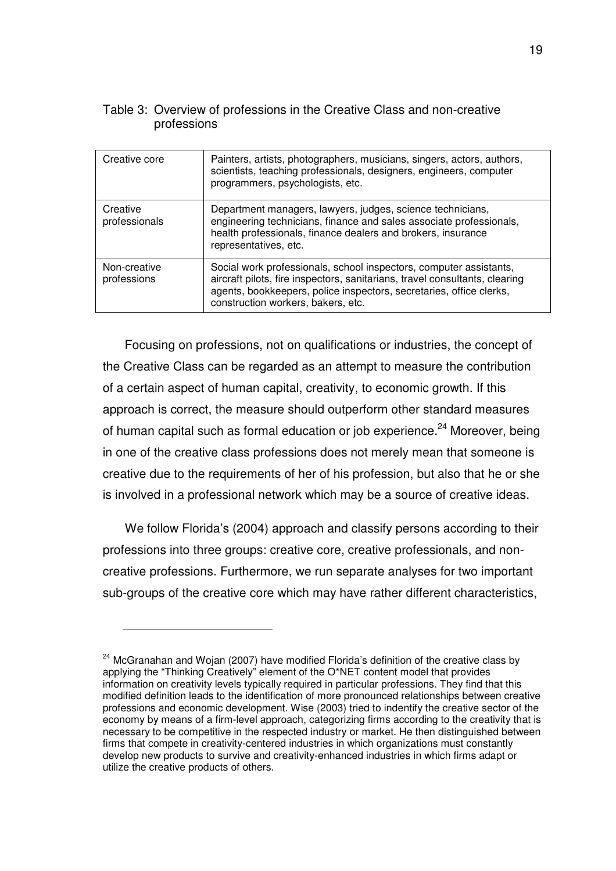| Creative core               | Painters, artists, photographers, musicians, singers, actors, authors,<br>scientists, teaching professionals, designers, engineers, computer<br>programmers, psychologists, etc.                                                                               |
|-----------------------------|----------------------------------------------------------------------------------------------------------------------------------------------------------------------------------------------------------------------------------------------------------------|
| Creative<br>professionals   | Department managers, lawyers, judges, science technicians,<br>engineering technicians, finance and sales associate professionals,<br>health professionals, finance dealers and brokers, insurance<br>representatives, etc.                                     |
| Non-creative<br>professions | Social work professionals, school inspectors, computer assistants,<br>aircraft pilots, fire inspectors, sanitarians, travel consultants, clearing<br>agents, bookkeepers, police inspectors, secretaries, office clerks,<br>construction workers, bakers, etc. |

### Table 3: Overview of professions in the Creative Class and non-creative professions

Focusing on professions, not on qualifications or industries, the concept of the Creative Class can be regarded as an attempt to measure the contribution of a certain aspect of human capital, creativity, to economic growth. If this approach is correct, the measure should outperform other standard measures of human capital such as formal education or job experience.<sup>24</sup> Moreover, being in one of the creative class professions does not merely mean that someone is creative due to the requirements of her of his profession, but also that he or she is involved in a professional network which may be a source of creative ideas.

We follow Florida's (2004) approach and classify persons according to their professions into three groups: creative core, creative professionals, and noncreative professions. Furthermore, we run separate analyses for two important sub-groups of the creative core which may have rather different characteristics,

 $24$  McGranahan and Wojan (2007) have modified Florida's definition of the creative class by applying the "Thinking Creatively" element of the O\*NET content model that provides information on creativity levels typically required in particular professions. They find that this modified definition leads to the identification of more pronounced relationships between creative professions and economic development. Wise (2003) tried to indentify the creative sector of the economy by means of a firm-level approach, categorizing firms according to the creativity that is necessary to be competitive in the respected industry or market. He then distinguished between firms that compete in creativity-centered industries in which organizations must constantly develop new products to survive and creativity-enhanced industries in which firms adapt or utilize the creative products of others.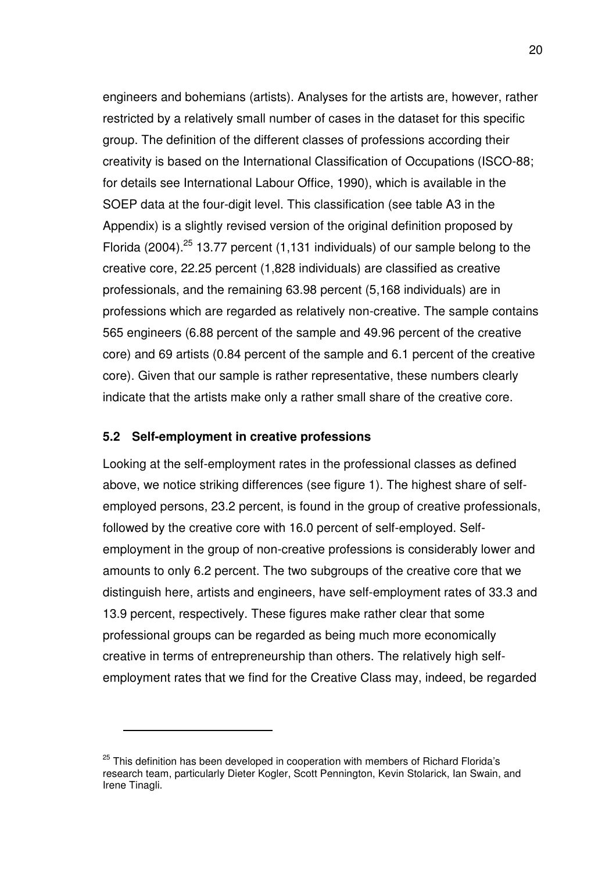engineers and bohemians (artists). Analyses for the artists are, however, rather restricted by a relatively small number of cases in the dataset for this specific group. The definition of the different classes of professions according their creativity is based on the International Classification of Occupations (ISCO-88; for details see International Labour Office, 1990), which is available in the SOEP data at the four-digit level. This classification (see table A3 in the Appendix) is a slightly revised version of the original definition proposed by Florida (2004).<sup>25</sup> 13.77 percent (1.131 individuals) of our sample belong to the creative core, 22.25 percent (1,828 individuals) are classified as creative professionals, and the remaining 63.98 percent (5,168 individuals) are in professions which are regarded as relatively non-creative. The sample contains 565 engineers (6.88 percent of the sample and 49.96 percent of the creative core) and 69 artists (0.84 percent of the sample and 6.1 percent of the creative core). Given that our sample is rather representative, these numbers clearly indicate that the artists make only a rather small share of the creative core.

### **5.2 Self-employment in creative professions**

 $\overline{a}$ 

Looking at the self-employment rates in the professional classes as defined above, we notice striking differences (see figure 1). The highest share of selfemployed persons, 23.2 percent, is found in the group of creative professionals, followed by the creative core with 16.0 percent of self-employed. Selfemployment in the group of non-creative professions is considerably lower and amounts to only 6.2 percent. The two subgroups of the creative core that we distinguish here, artists and engineers, have self-employment rates of 33.3 and 13.9 percent, respectively. These figures make rather clear that some professional groups can be regarded as being much more economically creative in terms of entrepreneurship than others. The relatively high selfemployment rates that we find for the Creative Class may, indeed, be regarded

<sup>&</sup>lt;sup>25</sup> This definition has been developed in cooperation with members of Richard Florida's research team, particularly Dieter Kogler, Scott Pennington, Kevin Stolarick, Ian Swain, and Irene Tinagli.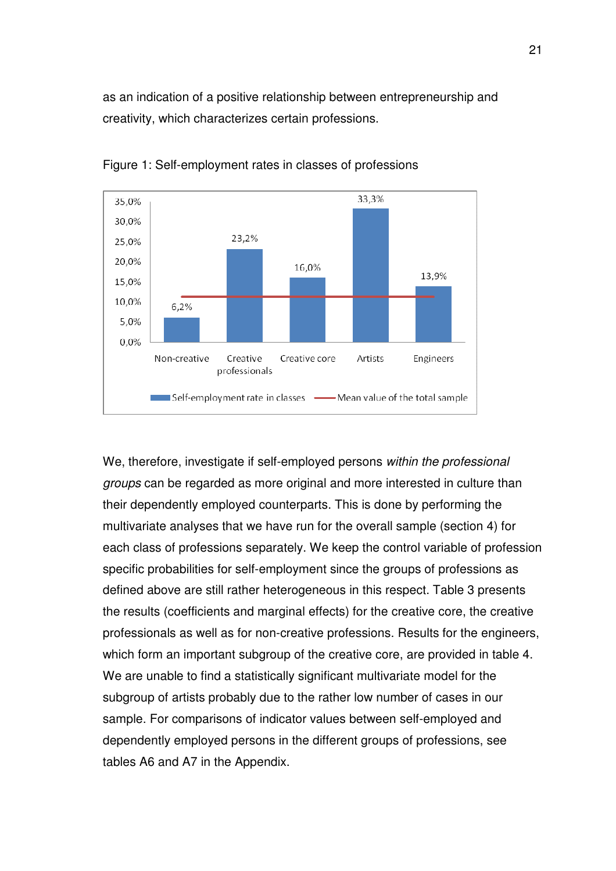as an indication of a positive relationship between entrepreneurship and creativity, which characterizes certain professions.



Figure 1: Self-employment rates in classes of professions

We, therefore, investigate if self-employed persons *within the professional groups* can be regarded as more original and more interested in culture than their dependently employed counterparts. This is done by performing the multivariate analyses that we have run for the overall sample (section 4) for each class of professions separately. We keep the control variable of profession specific probabilities for self-employment since the groups of professions as defined above are still rather heterogeneous in this respect. Table 3 presents the results (coefficients and marginal effects) for the creative core, the creative professionals as well as for non-creative professions. Results for the engineers, which form an important subgroup of the creative core, are provided in table 4. We are unable to find a statistically significant multivariate model for the subgroup of artists probably due to the rather low number of cases in our sample. For comparisons of indicator values between self-employed and dependently employed persons in the different groups of professions, see tables A6 and A7 in the Appendix.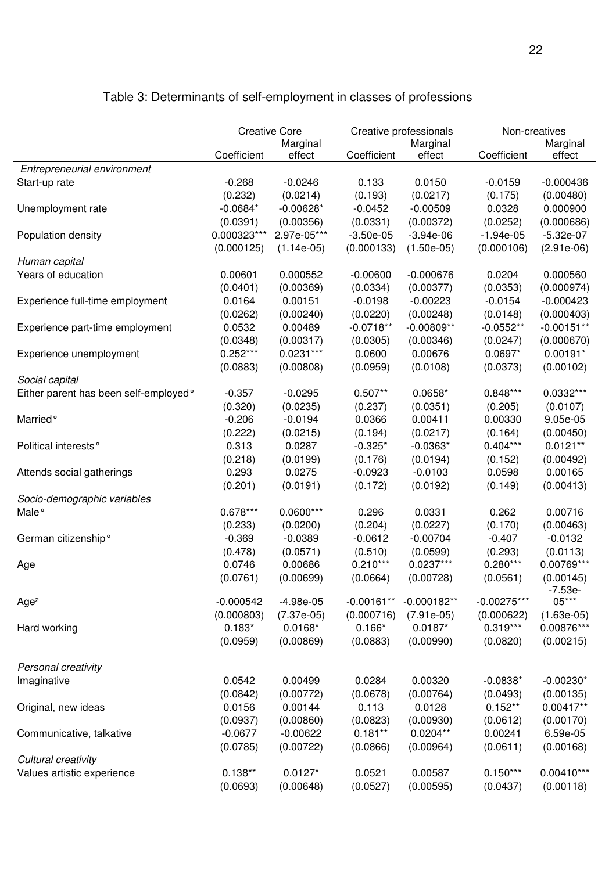|                                       |             | <b>Creative Core</b> | Creative professionals |               | Non-creatives |              |
|---------------------------------------|-------------|----------------------|------------------------|---------------|---------------|--------------|
|                                       |             | Marginal             |                        | Marginal      |               | Marginal     |
|                                       | Coefficient | effect               | Coefficient            | effect        | Coefficient   | effect       |
| Entrepreneurial environment           |             |                      |                        |               |               |              |
| Start-up rate                         | $-0.268$    | $-0.0246$            | 0.133                  | 0.0150        | $-0.0159$     | $-0.000436$  |
|                                       | (0.232)     | (0.0214)             | (0.193)                | (0.0217)      | (0.175)       | (0.00480)    |
| Unemployment rate                     | $-0.0684*$  | $-0.00628*$          | $-0.0452$              | $-0.00509$    | 0.0328        | 0.000900     |
|                                       | (0.0391)    | (0.00356)            | (0.0331)               | (0.00372)     | (0.0252)      | (0.000686)   |
| Population density                    | 0.000323*** | 2.97e-05***          | $-3.50e-05$            | $-3.94e-06$   | $-1.94e-05$   | $-5.32e-07$  |
|                                       | (0.000125)  | $(1.14e-05)$         | (0.000133)             | $(1.50e-05)$  | (0.000106)    | $(2.91e-06)$ |
| Human capital                         |             |                      |                        |               |               |              |
| Years of education                    | 0.00601     | 0.000552             | $-0.00600$             | $-0.000676$   | 0.0204        | 0.000560     |
|                                       | (0.0401)    | (0.00369)            | (0.0334)               | (0.00377)     | (0.0353)      | (0.000974)   |
| Experience full-time employment       | 0.0164      | 0.00151              | $-0.0198$              | $-0.00223$    | $-0.0154$     | $-0.000423$  |
|                                       | (0.0262)    | (0.00240)            | (0.0220)               | (0.00248)     | (0.0148)      | (0.000403)   |
| Experience part-time employment       | 0.0532      | 0.00489              | $-0.0718**$            | $-0.00809**$  | $-0.0552**$   | $-0.00151**$ |
|                                       | (0.0348)    | (0.00317)            | (0.0305)               | (0.00346)     | (0.0247)      | (0.000670)   |
| Experience unemployment               | $0.252***$  | $0.0231***$          | 0.0600                 | 0.00676       | 0.0697*       | $0.00191*$   |
|                                       | (0.0883)    | (0.00808)            | (0.0959)               | (0.0108)      | (0.0373)      | (0.00102)    |
| Social capital                        |             |                      |                        |               |               |              |
| Either parent has been self-employed° | $-0.357$    | $-0.0295$            | $0.507**$              | $0.0658*$     | $0.848***$    | 0.0332***    |
|                                       | (0.320)     | (0.0235)             | (0.237)                | (0.0351)      | (0.205)       | (0.0107)     |
| Married <sup>o</sup>                  | $-0.206$    | $-0.0194$            | 0.0366                 | 0.00411       | 0.00330       | 9.05e-05     |
|                                       | (0.222)     | (0.0215)             | (0.194)                | (0.0217)      | (0.164)       | (0.00450)    |
| Political interests°                  | 0.313       | 0.0287               | $-0.325*$              | $-0.0363*$    | $0.404***$    | $0.0121**$   |
|                                       | (0.218)     | (0.0199)             | (0.176)                | (0.0194)      | (0.152)       | (0.00492)    |
| Attends social gatherings             | 0.293       | 0.0275               | $-0.0923$              | $-0.0103$     | 0.0598        | 0.00165      |
|                                       | (0.201)     | (0.0191)             | (0.172)                | (0.0192)      | (0.149)       | (0.00413)    |
| Socio-demographic variables           |             |                      |                        |               |               |              |
| Male <sup>o</sup>                     | $0.678***$  | $0.0600***$          | 0.296                  | 0.0331        | 0.262         | 0.00716      |
|                                       | (0.233)     | (0.0200)             | (0.204)                | (0.0227)      | (0.170)       | (0.00463)    |
| German citizenship°                   | $-0.369$    | $-0.0389$            | $-0.0612$              | $-0.00704$    | $-0.407$      | $-0.0132$    |
|                                       | (0.478)     | (0.0571)             | (0.510)                | (0.0599)      | (0.293)       | (0.0113)     |
| Age                                   | 0.0746      | 0.00686              | $0.210***$             | $0.0237***$   | $0.280***$    | 0.00769***   |
|                                       | (0.0761)    | (0.00699)            | (0.0664)               | (0.00728)     | (0.0561)      | (0.00145)    |
|                                       |             |                      |                        |               |               | -7.53e-      |
| Age <sup>2</sup>                      | $-0.000542$ | $-4.98e-05$          | $-0.00161**$           | $-0.000182**$ | $-0.00275***$ | $05***$      |
|                                       | (0.000803)  | $(7.37e-05)$         | (0.000716)             | $(7.91e-05)$  | (0.000622)    | $(1.63e-05)$ |
| Hard working                          | $0.183*$    | $0.0168*$            | $0.166*$               | $0.0187*$     | $0.319***$    | 0.00876***   |
|                                       | (0.0959)    | (0.00869)            | (0.0883)               | (0.00990)     | (0.0820)      | (0.00215)    |
|                                       |             |                      |                        |               |               |              |
| Personal creativity                   |             |                      |                        |               |               |              |
| Imaginative                           | 0.0542      | 0.00499              | 0.0284                 | 0.00320       | $-0.0838*$    | $-0.00230*$  |
|                                       | (0.0842)    | (0.00772)            | (0.0678)               | (0.00764)     | (0.0493)      | (0.00135)    |
| Original, new ideas                   | 0.0156      | 0.00144              | 0.113                  | 0.0128        | $0.152**$     | 0.00417**    |
|                                       | (0.0937)    | (0.00860)            | (0.0823)               | (0.00930)     | (0.0612)      | (0.00170)    |
| Communicative, talkative              | $-0.0677$   | $-0.00622$           | $0.181**$              | $0.0204**$    | 0.00241       | 6.59e-05     |
|                                       | (0.0785)    | (0.00722)            | (0.0866)               | (0.00964)     | (0.0611)      | (0.00168)    |
| Cultural creativity                   |             |                      |                        |               |               |              |
| Values artistic experience            | $0.138**$   | $0.0127*$            | 0.0521                 | 0.00587       | $0.150***$    | $0.00410***$ |
|                                       | (0.0693)    | (0.00648)            | (0.0527)               | (0.00595)     | (0.0437)      | (0.00118)    |

# Table 3: Determinants of self-employment in classes of professions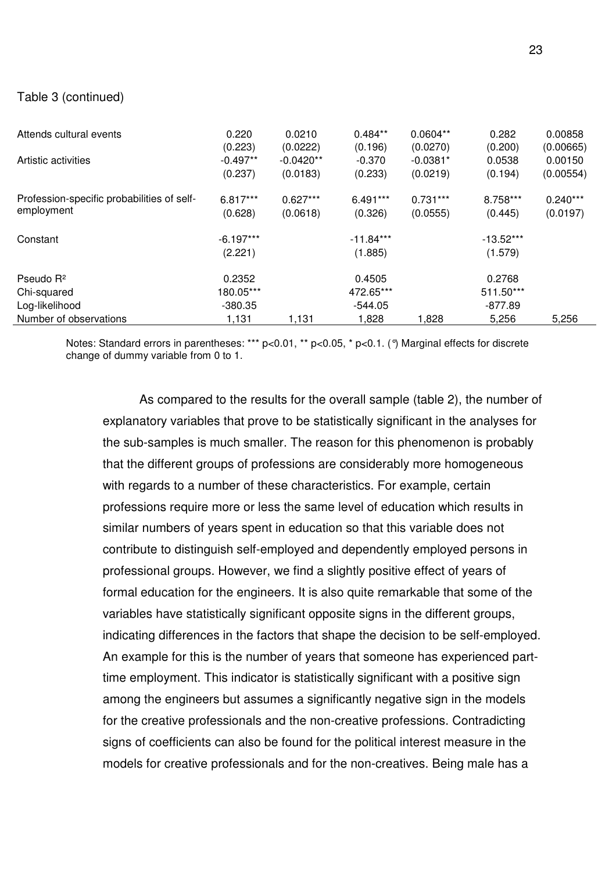### Table 3 (continued)

| Attends cultural events                                | 0.220                            | 0.0210      | $0.484**$                        | $0.0604**$ | 0.282                            | 0.00858    |
|--------------------------------------------------------|----------------------------------|-------------|----------------------------------|------------|----------------------------------|------------|
|                                                        | (0.223)                          | (0.0222)    | (0.196)                          | (0.0270)   | (0.200)                          | (0.00665)  |
| Artistic activities                                    | $-0.497**$                       | $-0.0420**$ | $-0.370$                         | $-0.0381*$ | 0.0538                           | 0.00150    |
|                                                        | (0.237)                          | (0.0183)    | (0.233)                          | (0.0219)   | (0.194)                          | (0.00554)  |
| Profession-specific probabilities of self-             | 6.817***                         | $0.627***$  | $6.491***$                       | $0.731***$ | 8.758***                         | $0.240***$ |
| employment                                             | (0.628)                          | (0.0618)    | (0.326)                          | (0.0555)   | (0.445)                          | (0.0197)   |
| Constant                                               | $-6.197***$<br>(2.221)           |             | $-11.84***$<br>(1.885)           |            | $-13.52***$<br>(1.579)           |            |
| Pseudo R <sup>2</sup><br>Chi-squared<br>Log-likelihood | 0.2352<br>180.05***<br>$-380.35$ |             | 0.4505<br>472.65***<br>$-544.05$ |            | 0.2768<br>511.50***<br>$-877.89$ |            |
| Number of observations                                 | 1,131                            | 1,131       | 1,828                            | 1,828      | 5,256                            | 5,256      |

Notes: Standard errors in parentheses: \*\*\* p<0.01, \*\* p<0.05, \* p<0.1. (°) Marginal effects for discrete change of dummy variable from 0 to 1.

As compared to the results for the overall sample (table 2), the number of explanatory variables that prove to be statistically significant in the analyses for the sub-samples is much smaller. The reason for this phenomenon is probably that the different groups of professions are considerably more homogeneous with regards to a number of these characteristics. For example, certain professions require more or less the same level of education which results in similar numbers of years spent in education so that this variable does not contribute to distinguish self-employed and dependently employed persons in professional groups. However, we find a slightly positive effect of years of formal education for the engineers. It is also quite remarkable that some of the variables have statistically significant opposite signs in the different groups, indicating differences in the factors that shape the decision to be self-employed. An example for this is the number of years that someone has experienced parttime employment. This indicator is statistically significant with a positive sign among the engineers but assumes a significantly negative sign in the models for the creative professionals and the non-creative professions. Contradicting signs of coefficients can also be found for the political interest measure in the models for creative professionals and for the non-creatives. Being male has a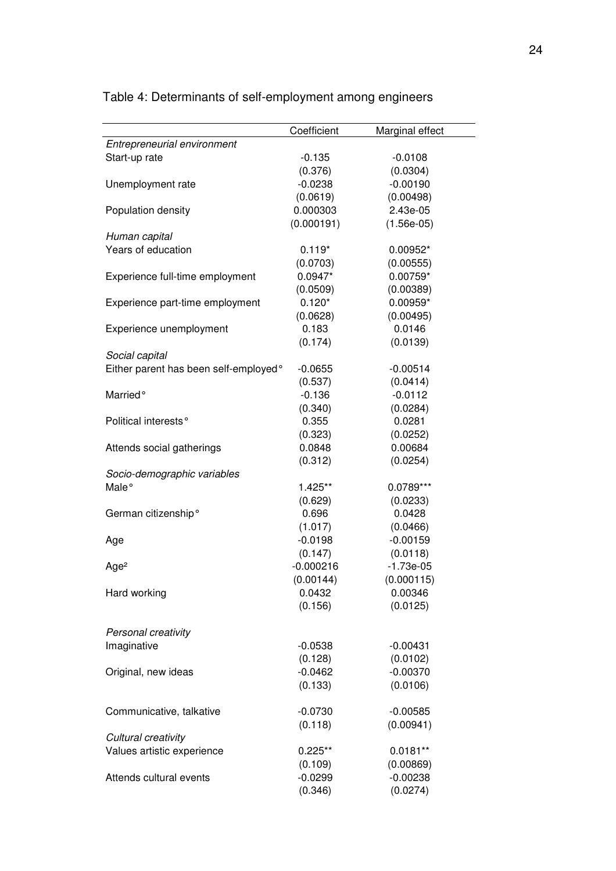|                                       | Coefficient | Marginal effect |
|---------------------------------------|-------------|-----------------|
| Entrepreneurial environment           |             |                 |
| Start-up rate                         | $-0.135$    | $-0.0108$       |
|                                       | (0.376)     | (0.0304)        |
| Unemployment rate                     | $-0.0238$   | $-0.00190$      |
|                                       | (0.0619)    | (0.00498)       |
| Population density                    | 0.000303    | 2.43e-05        |
|                                       | (0.000191)  | $(1.56e-05)$    |
| Human capital                         |             |                 |
| Years of education                    | $0.119*$    | 0.00952*        |
|                                       | (0.0703)    | (0.00555)       |
| Experience full-time employment       | $0.0947*$   | $0.00759*$      |
|                                       | (0.0509)    | (0.00389)       |
| Experience part-time employment       | $0.120*$    | 0.00959*        |
|                                       | (0.0628)    | (0.00495)       |
| Experience unemployment               | 0.183       | 0.0146          |
|                                       | (0.174)     | (0.0139)        |
| Social capital                        |             |                 |
| Either parent has been self-employed° | $-0.0655$   | $-0.00514$      |
|                                       | (0.537)     | (0.0414)        |
| Married <sup>o</sup>                  | $-0.136$    | $-0.0112$       |
|                                       | (0.340)     | (0.0284)        |
| Political interests <sup>°</sup>      | 0.355       | 0.0281          |
|                                       | (0.323)     | (0.0252)        |
|                                       | 0.0848      | 0.00684         |
| Attends social gatherings             |             |                 |
|                                       | (0.312)     | (0.0254)        |
| Socio-demographic variables           |             |                 |
| Male <sup>o</sup>                     | 1.425**     | $0.0789***$     |
|                                       | (0.629)     | (0.0233)        |
| German citizenship°                   | 0.696       | 0.0428          |
|                                       | (1.017)     | (0.0466)        |
| Age                                   | $-0.0198$   | $-0.00159$      |
|                                       | (0.147)     | (0.0118)        |
| Age <sup>2</sup>                      | $-0.000216$ | $-1.73e-05$     |
|                                       | (0.00144)   | (0.000115)      |
| Hard working                          | 0.0432      | 0.00346         |
|                                       | (0.156)     | (0.0125)        |
|                                       |             |                 |
| Personal creativity                   |             |                 |
| Imaginative                           | $-0.0538$   | $-0.00431$      |
|                                       | (0.128)     | (0.0102)        |
| Original, new ideas                   | $-0.0462$   | $-0.00370$      |
|                                       | (0.133)     | (0.0106)        |
|                                       |             |                 |
| Communicative, talkative              | $-0.0730$   | $-0.00585$      |
|                                       | (0.118)     | (0.00941)       |
| Cultural creativity                   |             |                 |
| Values artistic experience            | $0.225**$   | $0.0181**$      |
|                                       | (0.109)     | (0.00869)       |
| Attends cultural events               | $-0.0299$   | $-0.00238$      |
|                                       | (0.346)     | (0.0274)        |
|                                       |             |                 |

Table 4: Determinants of self-employment among engineers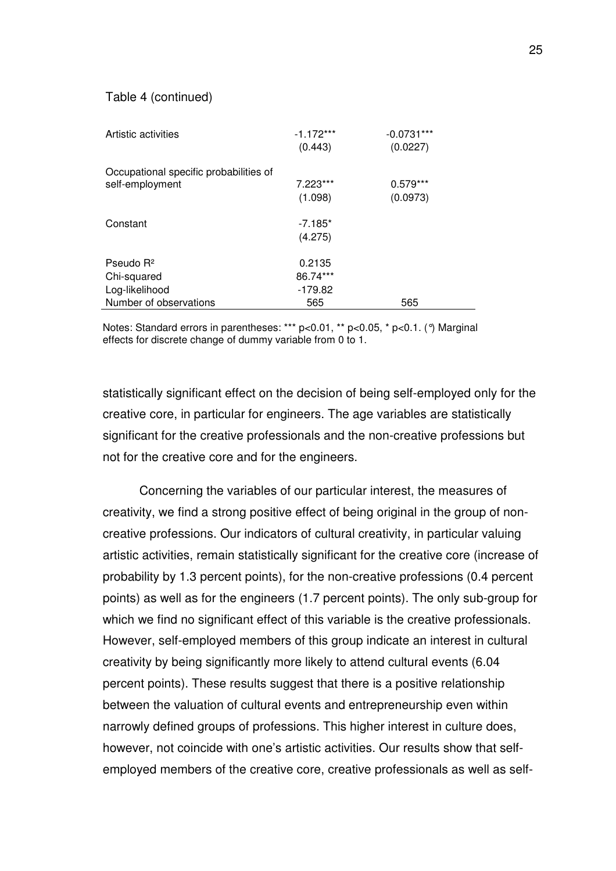#### Table 4 (continued)

| Artistic activities                                       | $-1.172***$<br>(0.443) | $-0.0731***$<br>(0.0227) |
|-----------------------------------------------------------|------------------------|--------------------------|
| Occupational specific probabilities of<br>self-employment | $7.223***$<br>(1.098)  | $0.579***$<br>(0.0973)   |
| Constant                                                  | $-7.185*$<br>(4.275)   |                          |
| Pseudo $R^2$                                              | 0.2135                 |                          |
| Chi-squared                                               | 86.74***               |                          |
| Log-likelihood                                            | $-179.82$              |                          |
| Number of observations                                    | 565                    | 565                      |

Notes: Standard errors in parentheses: \*\*\* p<0.01, \*\* p<0.05, \* p<0.1. (°) Marginal effects for discrete change of dummy variable from 0 to 1.

statistically significant effect on the decision of being self-employed only for the creative core, in particular for engineers. The age variables are statistically significant for the creative professionals and the non-creative professions but not for the creative core and for the engineers.

Concerning the variables of our particular interest, the measures of creativity, we find a strong positive effect of being original in the group of noncreative professions. Our indicators of cultural creativity, in particular valuing artistic activities, remain statistically significant for the creative core (increase of probability by 1.3 percent points), for the non-creative professions (0.4 percent points) as well as for the engineers (1.7 percent points). The only sub-group for which we find no significant effect of this variable is the creative professionals. However, self-employed members of this group indicate an interest in cultural creativity by being significantly more likely to attend cultural events (6.04 percent points). These results suggest that there is a positive relationship between the valuation of cultural events and entrepreneurship even within narrowly defined groups of professions. This higher interest in culture does, however, not coincide with one's artistic activities. Our results show that selfemployed members of the creative core, creative professionals as well as self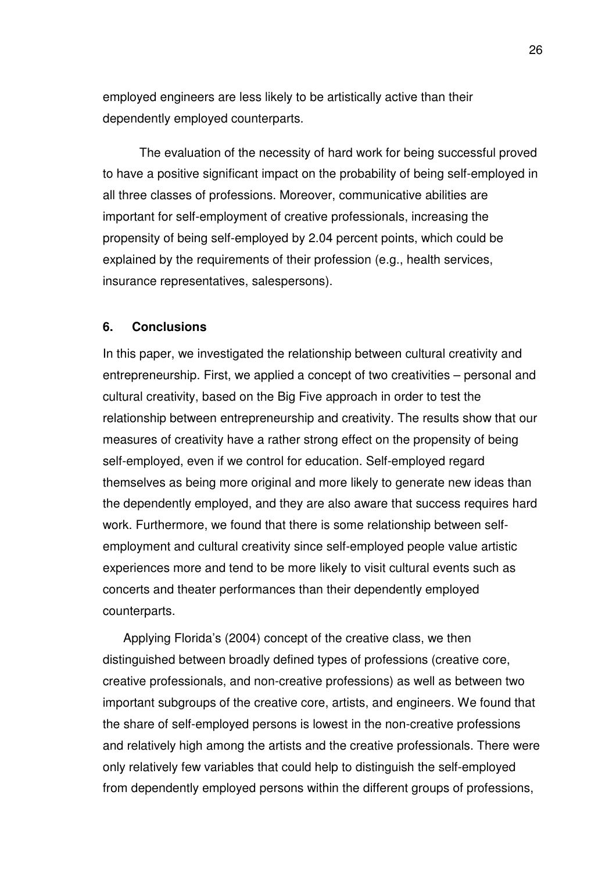employed engineers are less likely to be artistically active than their dependently employed counterparts.

The evaluation of the necessity of hard work for being successful proved to have a positive significant impact on the probability of being self-employed in all three classes of professions. Moreover, communicative abilities are important for self-employment of creative professionals, increasing the propensity of being self-employed by 2.04 percent points, which could be explained by the requirements of their profession (e.g., health services, insurance representatives, salespersons).

#### **6. Conclusions**

In this paper, we investigated the relationship between cultural creativity and entrepreneurship. First, we applied a concept of two creativities – personal and cultural creativity, based on the Big Five approach in order to test the relationship between entrepreneurship and creativity. The results show that our measures of creativity have a rather strong effect on the propensity of being self-employed, even if we control for education. Self-employed regard themselves as being more original and more likely to generate new ideas than the dependently employed, and they are also aware that success requires hard work. Furthermore, we found that there is some relationship between selfemployment and cultural creativity since self-employed people value artistic experiences more and tend to be more likely to visit cultural events such as concerts and theater performances than their dependently employed counterparts.

Applying Florida's (2004) concept of the creative class, we then distinguished between broadly defined types of professions (creative core, creative professionals, and non-creative professions) as well as between two important subgroups of the creative core, artists, and engineers. We found that the share of self-employed persons is lowest in the non-creative professions and relatively high among the artists and the creative professionals. There were only relatively few variables that could help to distinguish the self-employed from dependently employed persons within the different groups of professions,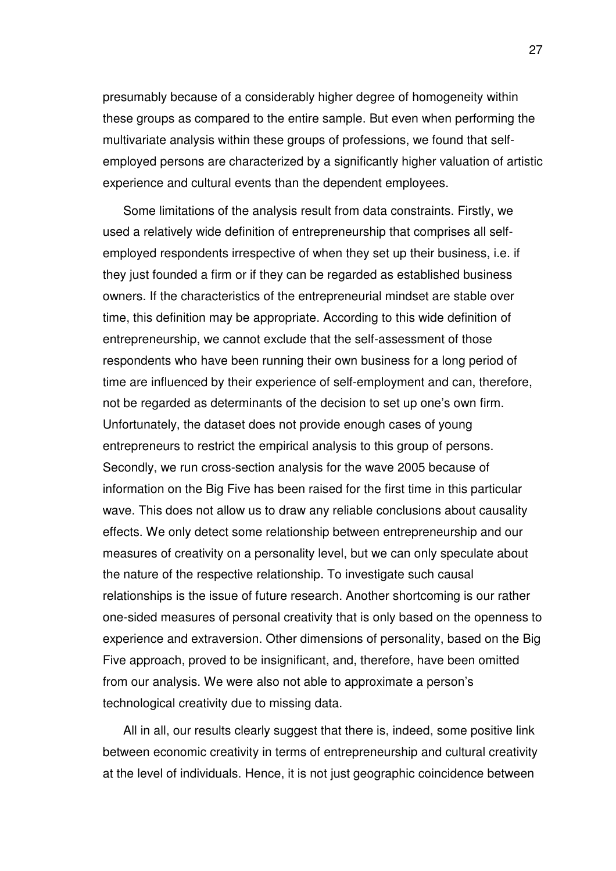presumably because of a considerably higher degree of homogeneity within these groups as compared to the entire sample. But even when performing the multivariate analysis within these groups of professions, we found that selfemployed persons are characterized by a significantly higher valuation of artistic experience and cultural events than the dependent employees.

Some limitations of the analysis result from data constraints. Firstly, we used a relatively wide definition of entrepreneurship that comprises all selfemployed respondents irrespective of when they set up their business, i.e. if they just founded a firm or if they can be regarded as established business owners. If the characteristics of the entrepreneurial mindset are stable over time, this definition may be appropriate. According to this wide definition of entrepreneurship, we cannot exclude that the self-assessment of those respondents who have been running their own business for a long period of time are influenced by their experience of self-employment and can, therefore, not be regarded as determinants of the decision to set up one's own firm. Unfortunately, the dataset does not provide enough cases of young entrepreneurs to restrict the empirical analysis to this group of persons. Secondly, we run cross-section analysis for the wave 2005 because of information on the Big Five has been raised for the first time in this particular wave. This does not allow us to draw any reliable conclusions about causality effects. We only detect some relationship between entrepreneurship and our measures of creativity on a personality level, but we can only speculate about the nature of the respective relationship. To investigate such causal relationships is the issue of future research. Another shortcoming is our rather one-sided measures of personal creativity that is only based on the openness to experience and extraversion. Other dimensions of personality, based on the Big Five approach, proved to be insignificant, and, therefore, have been omitted from our analysis. We were also not able to approximate a person's technological creativity due to missing data.

All in all, our results clearly suggest that there is, indeed, some positive link between economic creativity in terms of entrepreneurship and cultural creativity at the level of individuals. Hence, it is not just geographic coincidence between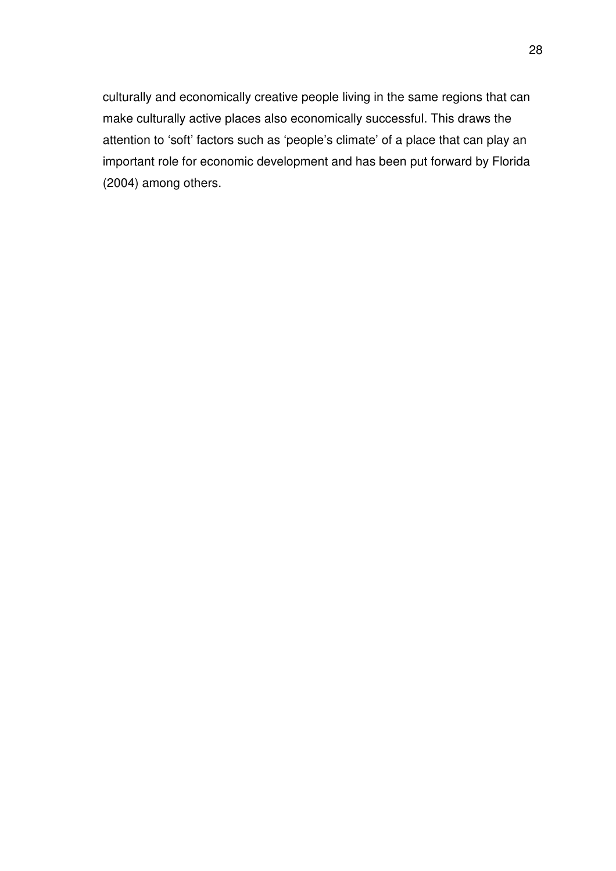culturally and economically creative people living in the same regions that can make culturally active places also economically successful. This draws the attention to 'soft' factors such as 'people's climate' of a place that can play an important role for economic development and has been put forward by Florida (2004) among others.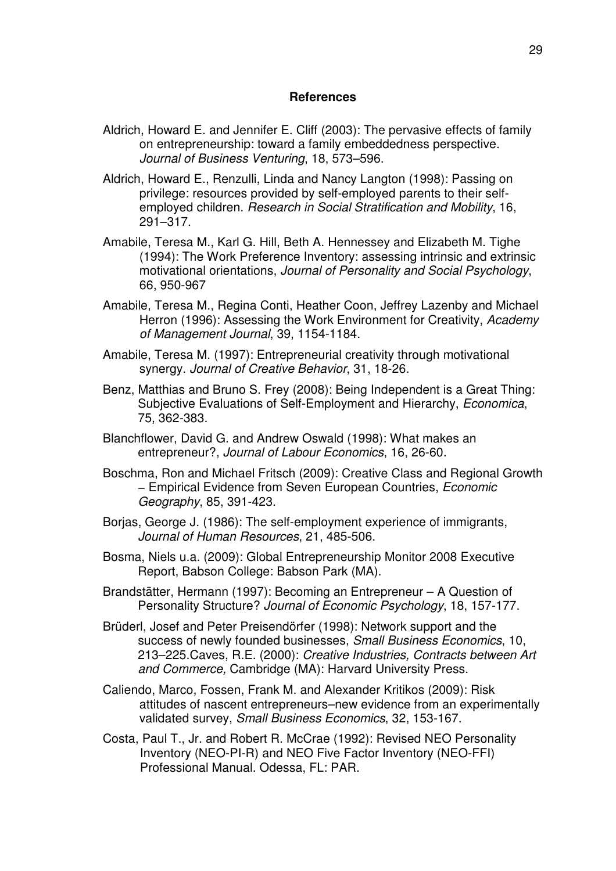#### **References**

- Aldrich, Howard E. and Jennifer E. Cliff (2003): The pervasive effects of family on entrepreneurship: toward a family embeddedness perspective. *Journal of Business Venturing*, 18, 573–596.
- Aldrich, Howard E., Renzulli, Linda and Nancy Langton (1998): Passing on privilege: resources provided by self-employed parents to their selfemployed children. *Research in Social Stratification and Mobility*, 16, 291–317.
- Amabile, Teresa M., Karl G. Hill, Beth A. Hennessey and Elizabeth M. Tighe (1994): The Work Preference Inventory: assessing intrinsic and extrinsic motivational orientations, *Journal of Personality and Social Psychology*, 66, 950-967
- Amabile, Teresa M., Regina Conti, Heather Coon, Jeffrey Lazenby and Michael Herron (1996): Assessing the Work Environment for Creativity, *Academy of Management Journal*, 39, 1154-1184.
- Amabile, Teresa M. (1997): Entrepreneurial creativity through motivational synergy. *Journal of Creative Behavior*, 31, 18-26.
- Benz, Matthias and Bruno S. Frey (2008): Being Independent is a Great Thing: Subjective Evaluations of Self-Employment and Hierarchy, *Economica*, 75, 362-383.
- Blanchflower, David G. and Andrew Oswald (1998): What makes an entrepreneur?, *Journal of Labour Economics*, 16, 26-60.
- Boschma, Ron and Michael Fritsch (2009): Creative Class and Regional Growth − Empirical Evidence from Seven European Countries, *Economic Geography*, 85, 391-423.
- Borjas, George J. (1986): The self-employment experience of immigrants, *Journal of Human Resources*, 21, 485-506.
- Bosma, Niels u.a. (2009): Global Entrepreneurship Monitor 2008 Executive Report, Babson College: Babson Park (MA).
- Brandstätter, Hermann (1997): Becoming an Entrepreneur A Question of Personality Structure? *Journal of Economic Psychology*, 18, 157-177.
- Brüderl, Josef and Peter Preisendörfer (1998): Network support and the success of newly founded businesses, *Small Business Economics*, 10, 213–225.Caves, R.E. (2000): *Creative Industries, Contracts between Art and Commerce,* Cambridge (MA): Harvard University Press.
- Caliendo, Marco, Fossen, Frank M. and Alexander Kritikos (2009): Risk attitudes of nascent entrepreneurs–new evidence from an experimentally validated survey, *Small Business Economics*, 32, 153-167.
- Costa, Paul T., Jr. and Robert R. McCrae (1992): Revised NEO Personality Inventory (NEO-PI-R) and NEO Five Factor Inventory (NEO-FFI) Professional Manual. Odessa, FL: PAR.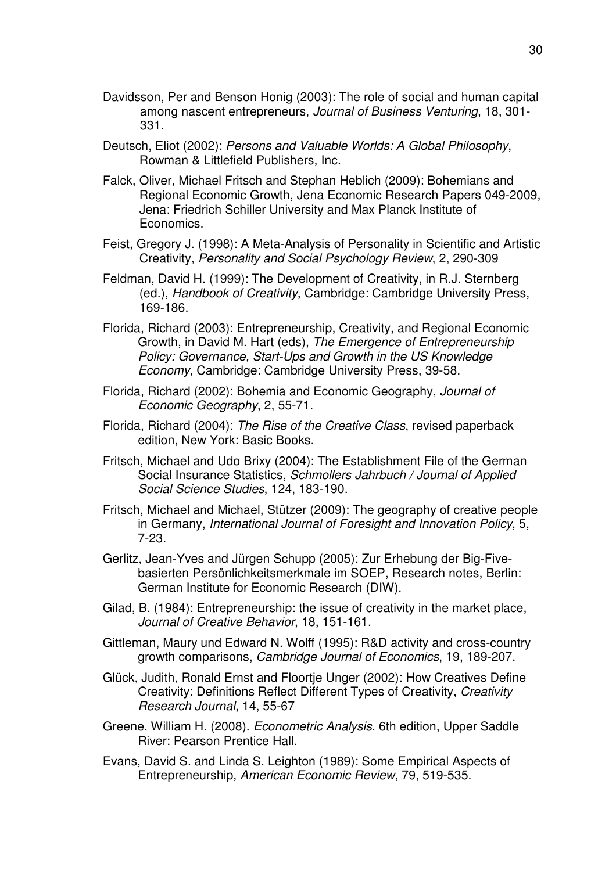- Davidsson, Per and Benson Honig (2003): The role of social and human capital among nascent entrepreneurs, *Journal of Business Venturing*, 18, 301- 331.
- Deutsch, Eliot (2002): *Persons and Valuable Worlds: A Global Philosophy*, Rowman & Littlefield Publishers, Inc.
- Falck, Oliver, Michael Fritsch and Stephan Heblich (2009): Bohemians and Regional Economic Growth, Jena Economic Research Papers 049-2009, Jena: Friedrich Schiller University and Max Planck Institute of Economics.
- Feist, Gregory J. (1998): A Meta-Analysis of Personality in Scientific and Artistic Creativity, *Personality and Social Psychology Review*, 2, 290-309
- Feldman, David H. (1999): The Development of Creativity, in R.J. Sternberg (ed.), *Handbook of Creativity*, Cambridge: Cambridge University Press, 169-186.
- Florida, Richard (2003): Entrepreneurship, Creativity, and Regional Economic Growth, in David M. Hart (eds), *The Emergence of Entrepreneurship Policy: Governance, Start-Ups and Growth in the US Knowledge Economy*, Cambridge: Cambridge University Press, 39-58.
- Florida, Richard (2002): Bohemia and Economic Geography, *Journal of Economic Geography*, 2, 55-71.
- Florida, Richard (2004): *The Rise of the Creative Class*, revised paperback edition, New York: Basic Books.
- Fritsch, Michael and Udo Brixy (2004): The Establishment File of the German Social Insurance Statistics, *Schmollers Jahrbuch / Journal of Applied Social Science Studies*, 124, 183-190.
- Fritsch, Michael and Michael, Stützer (2009): The geography of creative people in Germany, *International Journal of Foresight and Innovation Policy*, 5, 7-23.
- Gerlitz, Jean-Yves and Jürgen Schupp (2005): Zur Erhebung der Big-Fivebasierten Persönlichkeitsmerkmale im SOEP, Research notes, Berlin: German Institute for Economic Research (DIW).
- Gilad, B. (1984): Entrepreneurship: the issue of creativity in the market place, *Journal of Creative Behavior*, 18, 151-161.
- Gittleman, Maury und Edward N. Wolff (1995): R&D activity and cross-country growth comparisons, *Cambridge Journal of Economics*, 19, 189-207.
- Glück, Judith, Ronald Ernst and Floortje Unger (2002): How Creatives Define Creativity: Definitions Reflect Different Types of Creativity, *Creativity Research Journal*, 14, 55-67
- Greene, William H. (2008). *Econometric Analysis*. 6th edition, Upper Saddle River: Pearson Prentice Hall.
- Evans, David S. and Linda S. Leighton (1989): Some Empirical Aspects of Entrepreneurship, *American Economic Review*, 79, 519-535.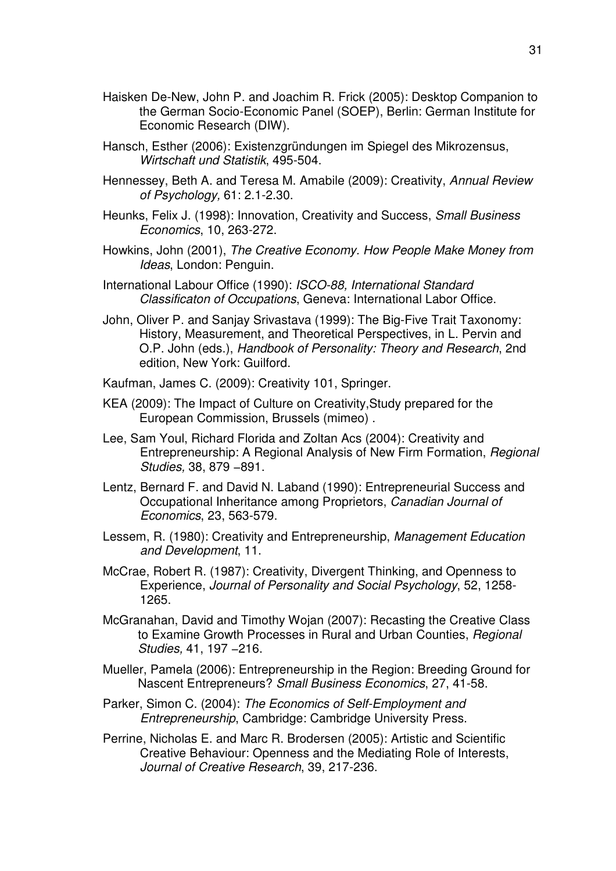- Haisken De-New, John P. and Joachim R. Frick (2005): Desktop Companion to the German Socio-Economic Panel (SOEP), Berlin: German Institute for Economic Research (DIW).
- Hansch, Esther (2006): Existenzgründungen im Spiegel des Mikrozensus, *Wirtschaft und Statistik*, 495-504.
- Hennessey, Beth A. and Teresa M. Amabile (2009): Creativity, *Annual Review of Psychology,* 61: 2.1-2.30.
- Heunks, Felix J. (1998): Innovation, Creativity and Success, *Small Business Economics*, 10, 263-272.
- Howkins, John (2001), *The Creative Economy. How People Make Money from Ideas*, London: Penguin.
- International Labour Office (1990): *ISCO-88, International Standard Classificaton of Occupations*, Geneva: International Labor Office.
- John, Oliver P. and Sanjay Srivastava (1999): The Big-Five Trait Taxonomy: History, Measurement, and Theoretical Perspectives, in L. Pervin and O.P. John (eds.), *Handbook of Personality: Theory and Research*, 2nd edition, New York: Guilford.
- Kaufman, James C. (2009): Creativity 101, Springer.
- KEA (2009): The Impact of Culture on Creativity,Study prepared for the European Commission, Brussels (mimeo) .
- Lee, Sam Youl, Richard Florida and Zoltan Acs (2004): Creativity and Entrepreneurship: A Regional Analysis of New Firm Formation, *Regional Studies,* 38, 879 −891.
- Lentz, Bernard F. and David N. Laband (1990): Entrepreneurial Success and Occupational Inheritance among Proprietors, *Canadian Journal of Economics*, 23, 563-579.
- Lessem, R. (1980): Creativity and Entrepreneurship, *Management Education and Development*, 11.
- McCrae, Robert R. (1987): Creativity, Divergent Thinking, and Openness to Experience, *Journal of Personality and Social Psychology*, 52, 1258- 1265.
- McGranahan, David and Timothy Wojan (2007): Recasting the Creative Class to Examine Growth Processes in Rural and Urban Counties, *Regional Studies,* 41, 197 −216.
- Mueller, Pamela (2006): Entrepreneurship in the Region: Breeding Ground for Nascent Entrepreneurs? *Small Business Economics*, 27, 41-58.
- Parker, Simon C. (2004): *The Economics of Self-Employment and Entrepreneurship*, Cambridge: Cambridge University Press.
- Perrine, Nicholas E. and Marc R. Brodersen (2005): Artistic and Scientific Creative Behaviour: Openness and the Mediating Role of Interests, *Journal of Creative Research*, 39, 217-236.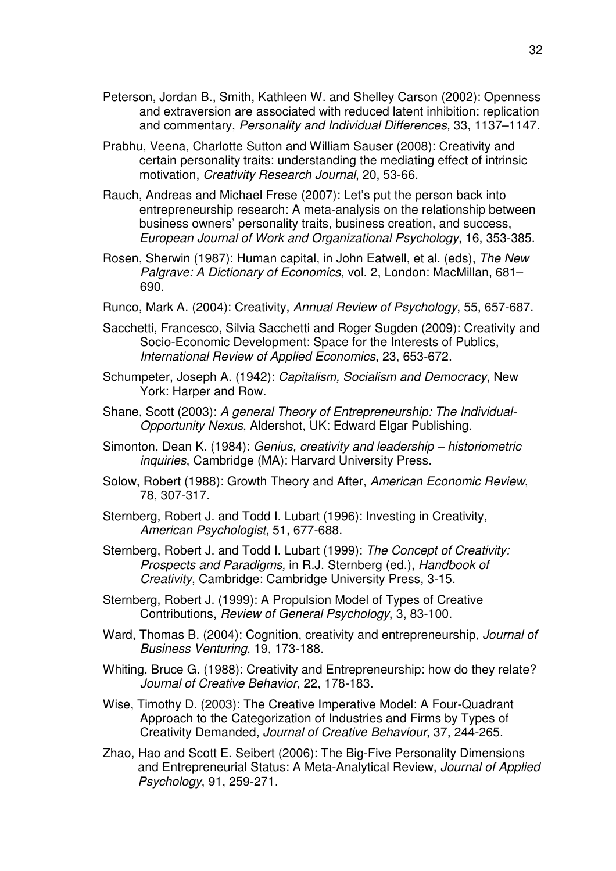- Peterson, Jordan B., Smith, Kathleen W. and Shelley Carson (2002): Openness and extraversion are associated with reduced latent inhibition: replication and commentary, *Personality and Individual Differences,* 33, 1137–1147.
- Prabhu, Veena, Charlotte Sutton and William Sauser (2008): Creativity and certain personality traits: understanding the mediating effect of intrinsic motivation, *Creativity Research Journal*, 20, 53-66.
- Rauch, Andreas and Michael Frese (2007): Let's put the person back into entrepreneurship research: A meta-analysis on the relationship between business owners' personality traits, business creation, and success, *European Journal of Work and Organizational Psychology*, 16, 353-385.
- Rosen, Sherwin (1987): Human capital, in John Eatwell, et al. (eds), *The New Palgrave: A Dictionary of Economics*, vol. 2, London: MacMillan, 681– 690.
- Runco, Mark A. (2004): Creativity, *Annual Review of Psychology*, 55, 657-687.
- Sacchetti, Francesco, Silvia Sacchetti and Roger Sugden (2009): Creativity and Socio-Economic Development: Space for the Interests of Publics, *International Review of Applied Economics*, 23, 653-672.
- Schumpeter, Joseph A. (1942): *Capitalism, Socialism and Democracy*, New York: Harper and Row*.*
- Shane, Scott (2003): *A general Theory of Entrepreneurship: The Individual-Opportunity Nexus*, Aldershot, UK: Edward Elgar Publishing.
- Simonton, Dean K. (1984): *Genius, creativity and leadership historiometric inquiries*, Cambridge (MA): Harvard University Press.
- Solow, Robert (1988): Growth Theory and After, *American Economic Review*, 78, 307-317.
- Sternberg, Robert J. and Todd I. Lubart (1996): Investing in Creativity, *American Psychologist*, 51, 677-688.
- Sternberg, Robert J. and Todd I. Lubart (1999): *The Concept of Creativity: Prospects and Paradigms,* in R.J. Sternberg (ed.), *Handbook of Creativity*, Cambridge: Cambridge University Press, 3-15.
- Sternberg, Robert J. (1999): A Propulsion Model of Types of Creative Contributions, *Review of General Psychology*, 3, 83-100.
- Ward, Thomas B. (2004): Cognition, creativity and entrepreneurship, *Journal of Business Venturing*, 19, 173-188.
- Whiting, Bruce G. (1988): Creativity and Entrepreneurship: how do they relate? *Journal of Creative Behavior*, 22, 178-183.
- Wise, Timothy D. (2003): The Creative Imperative Model: A Four-Quadrant Approach to the Categorization of Industries and Firms by Types of Creativity Demanded, *Journal of Creative Behaviour*, 37, 244-265.
- Zhao, Hao and Scott E. Seibert (2006): The Big-Five Personality Dimensions and Entrepreneurial Status: A Meta-Analytical Review, *Journal of Applied Psychology*, 91, 259-271.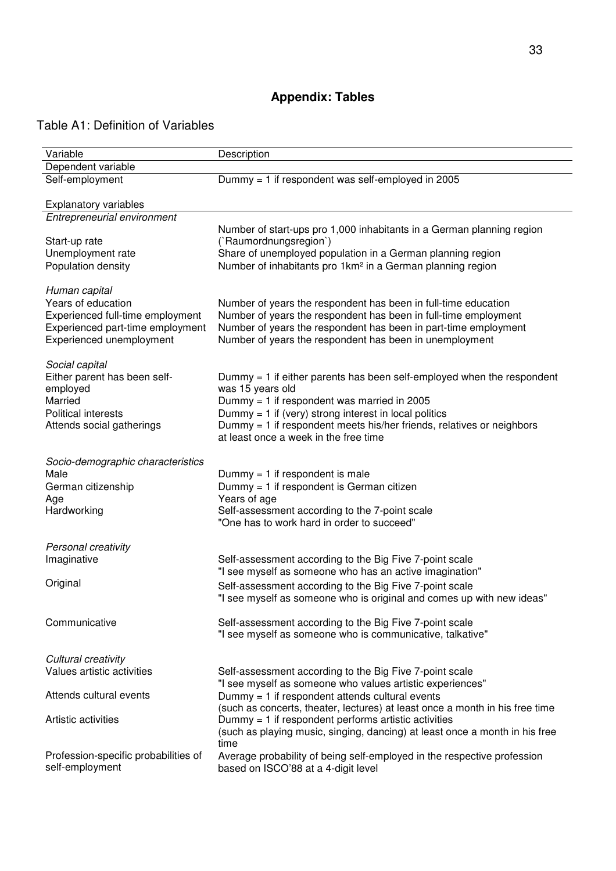# **Appendix: Tables**

# Table A1: Definition of Variables

| Variable                                                                                                                                | Description                                                                                                                                                                                                                                                                                                                |
|-----------------------------------------------------------------------------------------------------------------------------------------|----------------------------------------------------------------------------------------------------------------------------------------------------------------------------------------------------------------------------------------------------------------------------------------------------------------------------|
| Dependent variable                                                                                                                      |                                                                                                                                                                                                                                                                                                                            |
| Self-employment                                                                                                                         | Dummy = 1 if respondent was self-employed in 2005                                                                                                                                                                                                                                                                          |
| <b>Explanatory variables</b>                                                                                                            |                                                                                                                                                                                                                                                                                                                            |
| Entrepreneurial environment                                                                                                             |                                                                                                                                                                                                                                                                                                                            |
| Start-up rate<br>Unemployment rate<br>Population density                                                                                | Number of start-ups pro 1,000 inhabitants in a German planning region<br>(`Raumordnungsregion`)<br>Share of unemployed population in a German planning region<br>Number of inhabitants pro 1km <sup>2</sup> in a German planning region                                                                                    |
|                                                                                                                                         |                                                                                                                                                                                                                                                                                                                            |
| Human capital<br>Years of education<br>Experienced full-time employment<br>Experienced part-time employment<br>Experienced unemployment | Number of years the respondent has been in full-time education<br>Number of years the respondent has been in full-time employment<br>Number of years the respondent has been in part-time employment<br>Number of years the respondent has been in unemployment                                                            |
| Social capital<br>Either parent has been self-<br>employed<br>Married<br><b>Political interests</b><br>Attends social gatherings        | Dummy $=$ 1 if either parents has been self-employed when the respondent<br>was 15 years old<br>Dummy = $1$ if respondent was married in 2005<br>Dummy = $1$ if (very) strong interest in local politics<br>Dummy = 1 if respondent meets his/her friends, relatives or neighbors<br>at least once a week in the free time |
| Socio-demographic characteristics<br>Male<br>German citizenship<br>Age<br>Hardworking                                                   | Dummy $= 1$ if respondent is male<br>Dummy = 1 if respondent is German citizen<br>Years of age<br>Self-assessment according to the 7-point scale<br>"One has to work hard in order to succeed"                                                                                                                             |
| Personal creativity                                                                                                                     |                                                                                                                                                                                                                                                                                                                            |
| Imaginative                                                                                                                             | Self-assessment according to the Big Five 7-point scale<br>"I see myself as someone who has an active imagination"                                                                                                                                                                                                         |
| Original                                                                                                                                | Self-assessment according to the Big Five 7-point scale<br>"I see myself as someone who is original and comes up with new ideas"                                                                                                                                                                                           |
| Communicative                                                                                                                           | Self-assessment according to the Big Five 7-point scale<br>"I see myself as someone who is communicative, talkative"                                                                                                                                                                                                       |
| Cultural creativity<br>Values artistic activities                                                                                       | Self-assessment according to the Big Five 7-point scale                                                                                                                                                                                                                                                                    |
| Attends cultural events                                                                                                                 | "I see myself as someone who values artistic experiences"<br>Dummy $= 1$ if respondent attends cultural events                                                                                                                                                                                                             |
| Artistic activities                                                                                                                     | (such as concerts, theater, lectures) at least once a month in his free time<br>Dummy $=$ 1 if respondent performs artistic activities<br>(such as playing music, singing, dancing) at least once a month in his free<br>time                                                                                              |
| Profession-specific probabilities of<br>self-employment                                                                                 | Average probability of being self-employed in the respective profession<br>based on ISCO'88 at a 4-digit level                                                                                                                                                                                                             |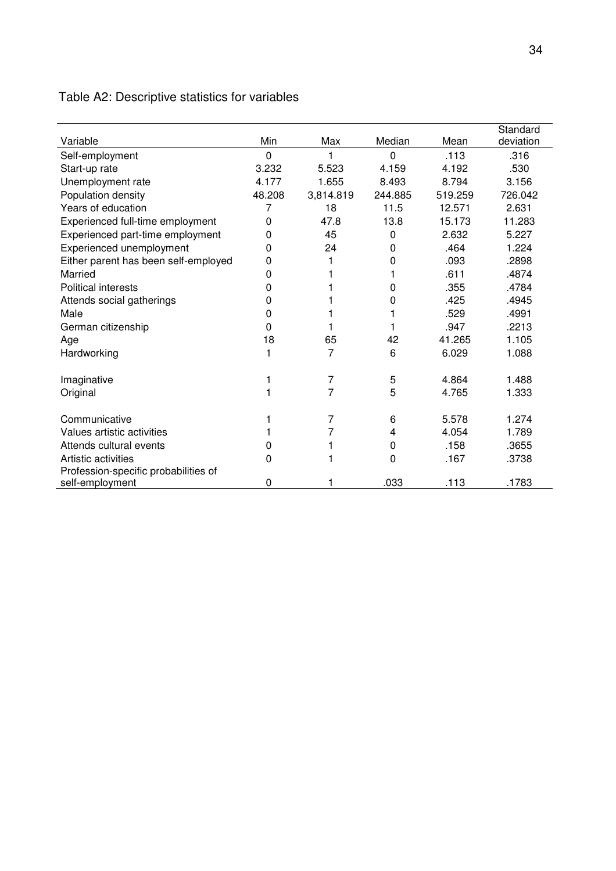# Table A2: Descriptive statistics for variables

|                                      |          |           |         |         | Standard  |
|--------------------------------------|----------|-----------|---------|---------|-----------|
| Variable                             | Min      | Max       | Median  | Mean    | deviation |
| Self-employment                      | $\Omega$ |           | 0       | .113    | .316      |
| Start-up rate                        | 3.232    | 5.523     | 4.159   | 4.192   | .530      |
| Unemployment rate                    | 4.177    | 1.655     | 8.493   | 8.794   | 3.156     |
| Population density                   | 48.208   | 3,814.819 | 244.885 | 519.259 | 726.042   |
| Years of education                   | 7        | 18        | 11.5    | 12.571  | 2.631     |
| Experienced full-time employment     | 0        | 47.8      | 13.8    | 15.173  | 11.283    |
| Experienced part-time employment     | 0        | 45        | 0       | 2.632   | 5.227     |
| Experienced unemployment             | 0        | 24        | 0       | .464    | 1.224     |
| Either parent has been self-employed | 0        | 1         | 0       | .093    | .2898     |
| Married                              | 0        |           |         | .611    | .4874     |
| <b>Political interests</b>           | 0        |           | 0       | .355    | .4784     |
| Attends social gatherings            | 0        |           | 0       | .425    | .4945     |
| Male                                 | 0        |           |         | .529    | .4991     |
| German citizenship                   | 0        |           |         | .947    | .2213     |
| Age                                  | 18       | 65        | 42      | 41.265  | 1.105     |
| Hardworking                          | 1        | 7         | 6       | 6.029   | 1.088     |
|                                      |          |           |         |         |           |
| Imaginative                          |          | 7         | 5       | 4.864   | 1.488     |
| Original                             |          | 7         | 5       | 4.765   | 1.333     |
| Communicative                        |          | 7         | 6       | 5.578   | 1.274     |
| Values artistic activities           |          | 7         | 4       | 4.054   | 1.789     |
| Attends cultural events              | 0        |           | 0       | .158    | .3655     |
| Artistic activities                  | 0        |           | 0       | .167    | .3738     |
| Profession-specific probabilities of |          |           |         |         |           |
| self-employment                      | 0        |           | .033    | .113    | .1783     |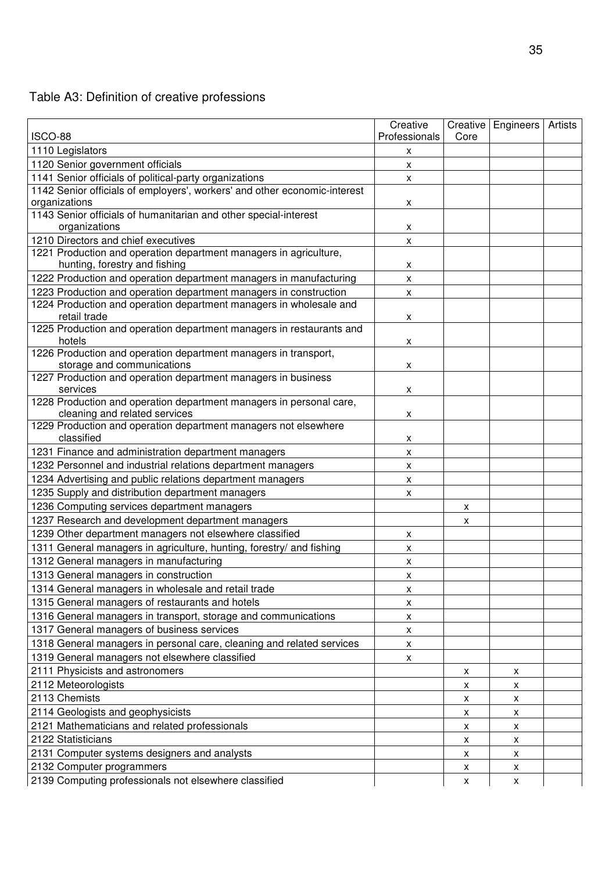# Table A3: Definition of creative professions

|                                                                                   | Creative                |      | Creative   Engineers   Artists |  |
|-----------------------------------------------------------------------------------|-------------------------|------|--------------------------------|--|
| <b>ISCO-88</b>                                                                    | Professionals           | Core |                                |  |
| 1110 Legislators                                                                  | x                       |      |                                |  |
| 1120 Senior government officials                                                  | X                       |      |                                |  |
| 1141 Senior officials of political-party organizations                            | $\pmb{\mathsf{X}}$      |      |                                |  |
| 1142 Senior officials of employers', workers' and other economic-interest         |                         |      |                                |  |
| organizations                                                                     | X                       |      |                                |  |
| 1143 Senior officials of humanitarian and other special-interest<br>organizations |                         |      |                                |  |
| 1210 Directors and chief executives                                               | x<br>$\pmb{\mathsf{X}}$ |      |                                |  |
| 1221 Production and operation department managers in agriculture,                 |                         |      |                                |  |
| hunting, forestry and fishing                                                     | X                       |      |                                |  |
| 1222 Production and operation department managers in manufacturing                | $\pmb{\mathsf{X}}$      |      |                                |  |
| 1223 Production and operation department managers in construction                 | X                       |      |                                |  |
| 1224 Production and operation department managers in wholesale and                |                         |      |                                |  |
| retail trade                                                                      | X                       |      |                                |  |
| 1225 Production and operation department managers in restaurants and              |                         |      |                                |  |
| hotels                                                                            | X                       |      |                                |  |
| 1226 Production and operation department managers in transport,                   |                         |      |                                |  |
| storage and communications                                                        | x                       |      |                                |  |
| 1227 Production and operation department managers in business<br>services         |                         |      |                                |  |
| 1228 Production and operation department managers in personal care,               | X                       |      |                                |  |
| cleaning and related services                                                     | $\pmb{\mathsf{X}}$      |      |                                |  |
| 1229 Production and operation department managers not elsewhere                   |                         |      |                                |  |
| classified                                                                        | x                       |      |                                |  |
| 1231 Finance and administration department managers                               | $\pmb{\mathsf{X}}$      |      |                                |  |
| 1232 Personnel and industrial relations department managers                       | X                       |      |                                |  |
| 1234 Advertising and public relations department managers                         | X                       |      |                                |  |
| 1235 Supply and distribution department managers                                  | X                       |      |                                |  |
| 1236 Computing services department managers                                       |                         | x    |                                |  |
| 1237 Research and development department managers                                 |                         | X    |                                |  |
| 1239 Other department managers not elsewhere classified                           | X                       |      |                                |  |
| 1311 General managers in agriculture, hunting, forestry/ and fishing              | x                       |      |                                |  |
| 1312 General managers in manufacturing                                            | x                       |      |                                |  |
| 1313 General managers in construction                                             | $\pmb{\mathsf{X}}$      |      |                                |  |
| 1314 General managers in wholesale and retail trade                               | X                       |      |                                |  |
| 1315 General managers of restaurants and hotels                                   | X                       |      |                                |  |
| 1316 General managers in transport, storage and communications                    | x                       |      |                                |  |
| 1317 General managers of business services                                        | X                       |      |                                |  |
| 1318 General managers in personal care, cleaning and related services             | X                       |      |                                |  |
| 1319 General managers not elsewhere classified                                    | $\pmb{\mathsf{X}}$      |      |                                |  |
| 2111 Physicists and astronomers                                                   |                         | x    | X                              |  |
| 2112 Meteorologists                                                               |                         | X    | X.                             |  |
| 2113 Chemists                                                                     |                         | X    | X                              |  |
| 2114 Geologists and geophysicists                                                 |                         | x    | X                              |  |
| 2121 Mathematicians and related professionals                                     |                         | x    | X                              |  |
| 2122 Statisticians                                                                |                         | X    | X                              |  |
| 2131 Computer systems designers and analysts                                      |                         | X    | X                              |  |
| 2132 Computer programmers                                                         |                         | x    | X                              |  |
| 2139 Computing professionals not elsewhere classified                             |                         | X    | X                              |  |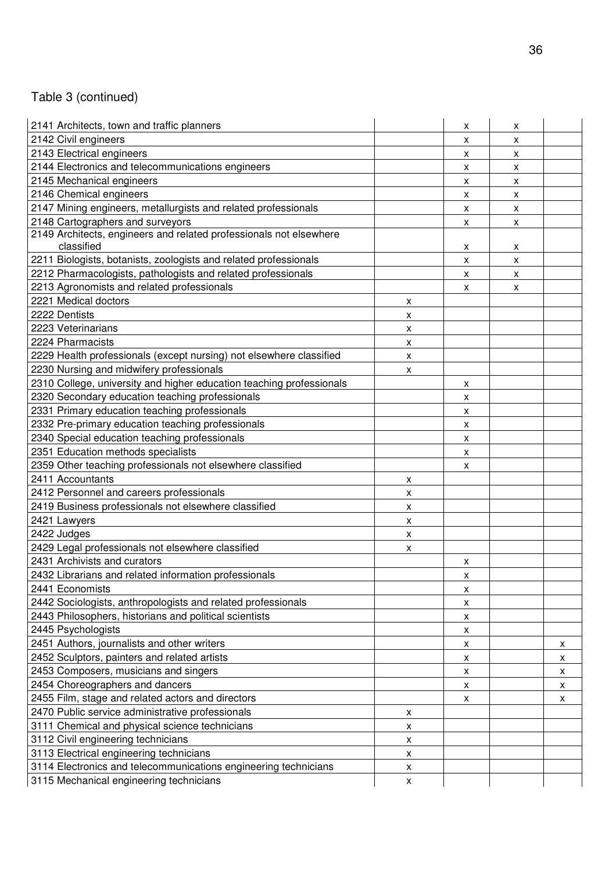# Table 3 (continued)

| 2141 Architects, town and traffic planners                                       |                           | X                  | х            |   |
|----------------------------------------------------------------------------------|---------------------------|--------------------|--------------|---|
| 2142 Civil engineers                                                             |                           | X                  | x            |   |
| 2143 Electrical engineers                                                        |                           | X                  | X            |   |
| 2144 Electronics and telecommunications engineers                                |                           | x                  | x            |   |
| 2145 Mechanical engineers                                                        |                           | x                  | x            |   |
| 2146 Chemical engineers                                                          |                           | X                  | x            |   |
| 2147 Mining engineers, metallurgists and related professionals                   |                           | X                  | x            |   |
| 2148 Cartographers and surveyors                                                 |                           | X                  | X            |   |
| 2149 Architects, engineers and related professionals not elsewhere<br>classified |                           | X                  | x            |   |
| 2211 Biologists, botanists, zoologists and related professionals                 |                           | $\pmb{\chi}$       | $\pmb{\chi}$ |   |
| 2212 Pharmacologists, pathologists and related professionals                     |                           | x                  | x            |   |
| 2213 Agronomists and related professionals                                       |                           | X                  | X            |   |
| 2221 Medical doctors                                                             | Х                         |                    |              |   |
| 2222 Dentists                                                                    | X                         |                    |              |   |
| 2223 Veterinarians                                                               | X                         |                    |              |   |
| 2224 Pharmacists                                                                 | X                         |                    |              |   |
| 2229 Health professionals (except nursing) not elsewhere classified              | $\pmb{\chi}$              |                    |              |   |
| 2230 Nursing and midwifery professionals                                         | X                         |                    |              |   |
| 2310 College, university and higher education teaching professionals             |                           | X                  |              |   |
| 2320 Secondary education teaching professionals                                  |                           | x                  |              |   |
| 2331 Primary education teaching professionals                                    |                           | $\pmb{\mathsf{x}}$ |              |   |
| 2332 Pre-primary education teaching professionals                                |                           | X                  |              |   |
| 2340 Special education teaching professionals                                    |                           | X                  |              |   |
| 2351 Education methods specialists                                               |                           | X                  |              |   |
| 2359 Other teaching professionals not elsewhere classified                       |                           | x                  |              |   |
| 2411 Accountants                                                                 | X                         |                    |              |   |
| 2412 Personnel and careers professionals                                         | $\pmb{\chi}$              |                    |              |   |
| 2419 Business professionals not elsewhere classified                             | X                         |                    |              |   |
| 2421 Lawyers                                                                     | X                         |                    |              |   |
| 2422 Judges                                                                      | $\boldsymbol{\mathsf{x}}$ |                    |              |   |
| 2429 Legal professionals not elsewhere classified                                | X                         |                    |              |   |
| 2431 Archivists and curators                                                     |                           | X                  |              |   |
| 2432 Librarians and related information professionals                            |                           | $\pmb{\mathsf{X}}$ |              |   |
| 2441 Economists                                                                  |                           | X                  |              |   |
| 2442 Sociologists, anthropologists and related professionals                     |                           | x                  |              |   |
| 2443 Philosophers, historians and political scientists                           |                           | X                  |              |   |
| 2445 Psychologists                                                               |                           | X                  |              |   |
| 2451 Authors, journalists and other writers                                      |                           | X                  |              | X |
| 2452 Sculptors, painters and related artists                                     |                           | X                  |              | X |
| 2453 Composers, musicians and singers                                            |                           | X                  |              | X |
| 2454 Choreographers and dancers                                                  |                           | X                  |              | X |
| 2455 Film, stage and related actors and directors                                |                           | X                  |              | X |
| 2470 Public service administrative professionals                                 | X                         |                    |              |   |
| 3111 Chemical and physical science technicians                                   | X                         |                    |              |   |
| 3112 Civil engineering technicians                                               | $\pmb{\mathsf{X}}$        |                    |              |   |
| 3113 Electrical engineering technicians                                          | X                         |                    |              |   |
| 3114 Electronics and telecommunications engineering technicians                  | $\pmb{\mathsf{X}}$        |                    |              |   |
| 3115 Mechanical engineering technicians                                          | $\pmb{\mathsf{X}}$        |                    |              |   |
|                                                                                  |                           |                    |              |   |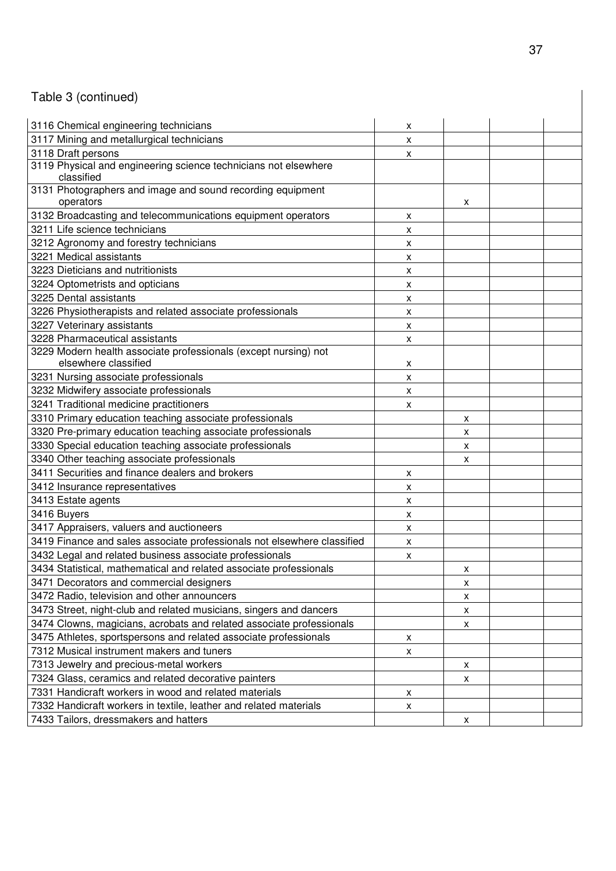# Table 3 (continued)

| 3116 Chemical engineering technicians                                                   | х                         |   |  |
|-----------------------------------------------------------------------------------------|---------------------------|---|--|
| 3117 Mining and metallurgical technicians                                               | X                         |   |  |
| 3118 Draft persons                                                                      | х                         |   |  |
| 3119 Physical and engineering science technicians not elsewhere<br>classified           |                           |   |  |
| 3131 Photographers and image and sound recording equipment<br>operators                 |                           | X |  |
| 3132 Broadcasting and telecommunications equipment operators                            | Χ                         |   |  |
| 3211 Life science technicians                                                           | X                         |   |  |
| 3212 Agronomy and forestry technicians                                                  | X                         |   |  |
| 3221 Medical assistants                                                                 | x                         |   |  |
| 3223 Dieticians and nutritionists                                                       | X                         |   |  |
| 3224 Optometrists and opticians                                                         | $\pmb{\chi}$              |   |  |
| 3225 Dental assistants                                                                  | X                         |   |  |
| 3226 Physiotherapists and related associate professionals                               | х                         |   |  |
| 3227 Veterinary assistants                                                              | X                         |   |  |
| 3228 Pharmaceutical assistants                                                          | $\pmb{\mathsf{X}}$        |   |  |
| 3229 Modern health associate professionals (except nursing) not<br>elsewhere classified | X                         |   |  |
| 3231 Nursing associate professionals                                                    | $\boldsymbol{\mathsf{x}}$ |   |  |
| 3232 Midwifery associate professionals                                                  | х                         |   |  |
| 3241 Traditional medicine practitioners                                                 | X                         |   |  |
| 3310 Primary education teaching associate professionals                                 |                           | X |  |
| 3320 Pre-primary education teaching associate professionals                             |                           | X |  |
| 3330 Special education teaching associate professionals                                 |                           | X |  |
| 3340 Other teaching associate professionals                                             |                           | X |  |
| 3411 Securities and finance dealers and brokers                                         | х                         |   |  |
| 3412 Insurance representatives                                                          | x                         |   |  |
| 3413 Estate agents                                                                      | X                         |   |  |
| 3416 Buyers                                                                             | X                         |   |  |
| 3417 Appraisers, valuers and auctioneers                                                | X                         |   |  |
| 3419 Finance and sales associate professionals not elsewhere classified                 | X                         |   |  |
| 3432 Legal and related business associate professionals                                 | X                         |   |  |
| 3434 Statistical, mathematical and related associate professionals                      |                           | X |  |
| 3471 Decorators and commercial designers                                                |                           | X |  |
| 3472 Radio, television and other announcers                                             |                           | X |  |
| 3473 Street, night-club and related musicians, singers and dancers                      |                           | X |  |
| 3474 Clowns, magicians, acrobats and related associate professionals                    |                           | X |  |
| 3475 Athletes, sportspersons and related associate professionals                        | X                         |   |  |
| 7312 Musical instrument makers and tuners                                               | X                         |   |  |
| 7313 Jewelry and precious-metal workers                                                 |                           | X |  |
| 7324 Glass, ceramics and related decorative painters                                    |                           | Χ |  |
| 7331 Handicraft workers in wood and related materials                                   | X                         |   |  |
| 7332 Handicraft workers in textile, leather and related materials                       | X                         |   |  |
| 7433 Tailors, dressmakers and hatters                                                   |                           | X |  |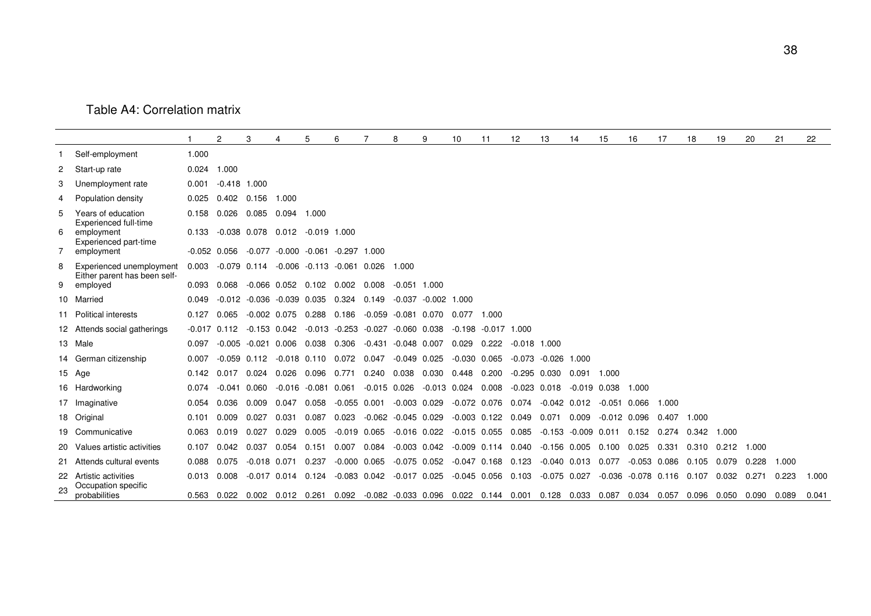#### Table A4: Correlation matrix

|   |                                                              |               | 2                | 3              | 4                      | 5                                         | 6                |                                                    | 8                | 9                     | 10               | 11                   | 12                                                                              | 13               | 14                     | 15               | 16                           | 17    | 18    | 19    | 20    | 21    | 22    |
|---|--------------------------------------------------------------|---------------|------------------|----------------|------------------------|-------------------------------------------|------------------|----------------------------------------------------|------------------|-----------------------|------------------|----------------------|---------------------------------------------------------------------------------|------------------|------------------------|------------------|------------------------------|-------|-------|-------|-------|-------|-------|
|   | Self-employment                                              | 1.000         |                  |                |                        |                                           |                  |                                                    |                  |                       |                  |                      |                                                                                 |                  |                        |                  |                              |       |       |       |       |       |       |
| 2 | Start-up rate                                                | 0.024         | 1.000            |                |                        |                                           |                  |                                                    |                  |                       |                  |                      |                                                                                 |                  |                        |                  |                              |       |       |       |       |       |       |
| 3 | Unemployment rate                                            | 0.001         | $-0.418$ 1.000   |                |                        |                                           |                  |                                                    |                  |                       |                  |                      |                                                                                 |                  |                        |                  |                              |       |       |       |       |       |       |
| 4 | Population density                                           |               | $0.025$ 0.402    | 0.156          | 1.000                  |                                           |                  |                                                    |                  |                       |                  |                      |                                                                                 |                  |                        |                  |                              |       |       |       |       |       |       |
| 5 | Years of education                                           | 0.158         | 0.026            | 0.085          | 0.094                  | 1.000                                     |                  |                                                    |                  |                       |                  |                      |                                                                                 |                  |                        |                  |                              |       |       |       |       |       |       |
| 6 | Experienced full-time<br>employment<br>Experienced part-time | 0.133         | $-0.038$ 0.078   |                |                        | 0.012 -0.019 1.000                        |                  |                                                    |                  |                       |                  |                      |                                                                                 |                  |                        |                  |                              |       |       |       |       |       |       |
| 7 | employment                                                   |               | $-0.052$ 0.056   |                |                        | $-0.077$ $-0.000$ $-0.061$ $-0.297$ 1.000 |                  |                                                    |                  |                       |                  |                      |                                                                                 |                  |                        |                  |                              |       |       |       |       |       |       |
| 8 | Experienced unemployment<br>Either parent has been self-     | 0.003         |                  | $-0.079$ 0.114 |                        | $-0.006$ $-0.113$ $-0.061$ 0.026          |                  |                                                    | 1.000            |                       |                  |                      |                                                                                 |                  |                        |                  |                              |       |       |       |       |       |       |
| 9 | employed                                                     | 0.093         | 0.068            |                |                        | $-0.066$ 0.052 0.102 0.002                |                  | 0.008                                              | $-0.051$ 1.000   |                       |                  |                      |                                                                                 |                  |                        |                  |                              |       |       |       |       |       |       |
|   | 10 Married                                                   | 0.049         | -0.012           |                | $-0.036 - 0.039$ 0.035 |                                           | 0.324            | 0.149                                              |                  | $-0.037 -0.002$ 1.000 |                  |                      |                                                                                 |                  |                        |                  |                              |       |       |       |       |       |       |
|   | 11 Political interests                                       | 0.127         | 0.065            |                | $-0.002$ 0.075 0.288   |                                           | 0.186            | -0.059                                             | -0.081 0.070     |                       | 0.077            | 1.000                |                                                                                 |                  |                        |                  |                              |       |       |       |       |       |       |
|   | 12 Attends social gatherings                                 |               | $-0.017$ 0.112   | $-0.153$ 0.042 |                        | $-0.013 - 0.253$                          |                  | $-0.027$                                           | $-0.060$ 0.038   |                       | $-0.198$         | $-0.017$ 1.000       |                                                                                 |                  |                        |                  |                              |       |       |       |       |       |       |
|   | 13 Male                                                      | 0.097         | -0.005           | $-0.021$ 0.006 |                        | 0.038                                     | 0.306            | -0.431                                             | $-0.048$ 0.007   |                       | 0.029            | 0.222                | $-0.018$                                                                        | 1.000            |                        |                  |                              |       |       |       |       |       |       |
|   | 14 German citizenship                                        | 0.007         | $-0.059$ $0.112$ |                | $-0.018$ 0.110         |                                           | 0.072            | 0.047                                              | $-0.049$ 0.025   |                       | $-0.030$         | 0.065                | $-0.073$                                                                        | -0.026           | 1.000                  |                  |                              |       |       |       |       |       |       |
|   | 15 Age                                                       | $0.142$ 0.017 |                  | 0.024          | 0.026                  | 0.096                                     | 0.771            | 0.240                                              | 0.038            | 0.030                 | 0.448            | 0.200                | $-0.295$ 0.030                                                                  |                  | 0.091                  | 1.000            |                              |       |       |       |       |       |       |
|   | 16 Hardworking                                               | 0.074         | $-0.041$         | 0.060          | $-0.016$               | $-0.081$ 0.061                            |                  | $-0.015$ 0.026                                     |                  | $-0.013$ 0.024        |                  | 0.008                | $-0.023$ $0.018$                                                                |                  | $-0.019$ $0.038$       |                  | 1.000                        |       |       |       |       |       |       |
|   | 17 Imaginative                                               | 0.054         | 0.036            | 0.009          | 0.047                  | 0.058                                     | $-0.055$ 0.001   |                                                    | $-0.003$ 0.029   |                       | $-0.072$ 0.076   |                      | 0.074                                                                           | $-0.042$ 0.012   |                        | $-0.051$ 0.066   |                              | 1.000 |       |       |       |       |       |
|   | 18 Original                                                  | 0.101         | 0.009            | 0.027          | 0.031                  | 0.087                                     | 0.023            | $-0.062$                                           | $-0.045$ 0.029   |                       | $-0.003$ 0.122   |                      | 0.049                                                                           | 0.071            | 0.009                  | $-0.012$ $0.096$ |                              | 0.407 | 1.000 |       |       |       |       |
|   | 19 Communicative                                             | 0.063         | 0.019            | 0.027          | 0.029                  | 0.005                                     | $-0.019$ $0.065$ |                                                    | $-0.016$ 0.022   |                       | $-0.015$ 0.055   |                      | 0.085                                                                           |                  | $-0.153 - 0.009$ 0.011 |                  | 0.152                        | 0.274 | 0.342 | 1.000 |       |       |       |
|   | 20 Values artistic activities                                | 0.107         | 0.042            | 0.037          | 0.054                  | 0.151                                     | 0.007            | 0.084                                              | $-0.003$ $0.042$ |                       | $-0.009$ $0.114$ |                      | 0.040                                                                           | $-0.156$ 0.005   |                        | 0.100            | 0.025                        | 0.331 | 0.310 | 0.212 | 1.000 |       |       |
|   | 21 Attends cultural events                                   | 0.088         | 0.075            | $-0.018$ 0.071 |                        | 0.237                                     | $-0.000$ $0.065$ |                                                    | $-0.075$ 0.052   |                       | $-0.047$ 0.168   |                      | 0.123                                                                           | $-0.040$ $0.013$ |                        | 0.077            | $-0.053$ 0.086               |       | 0.105 | 0.079 | 0.228 | 1.000 |       |
|   | 22 Artistic activities<br>Occupation specific                | $0.013$ 0.008 |                  |                |                        |                                           |                  | $-0.017$ 0.014 0.124 $-0.083$ 0.042 $-0.017$ 0.025 |                  |                       |                  | $-0.045$ 0.056 0.103 |                                                                                 | $-0.075$ 0.027   |                        |                  | $-0.036 - 0.078$ 0.116 0.107 |       |       | 0.032 | 0.271 | 0.223 | 1.000 |
|   | probabilities                                                | 0.563         | 0.022            |                |                        |                                           |                  |                                                    |                  |                       |                  |                      | 0.002 0.012 0.261 0.092 -0.082 -0.033 0.096 0.022 0.144 0.001 0.128 0.033 0.087 |                  |                        |                  | 0.034 0.057 0.096 0.050      |       |       |       | 0.090 | 0.089 | 0.041 |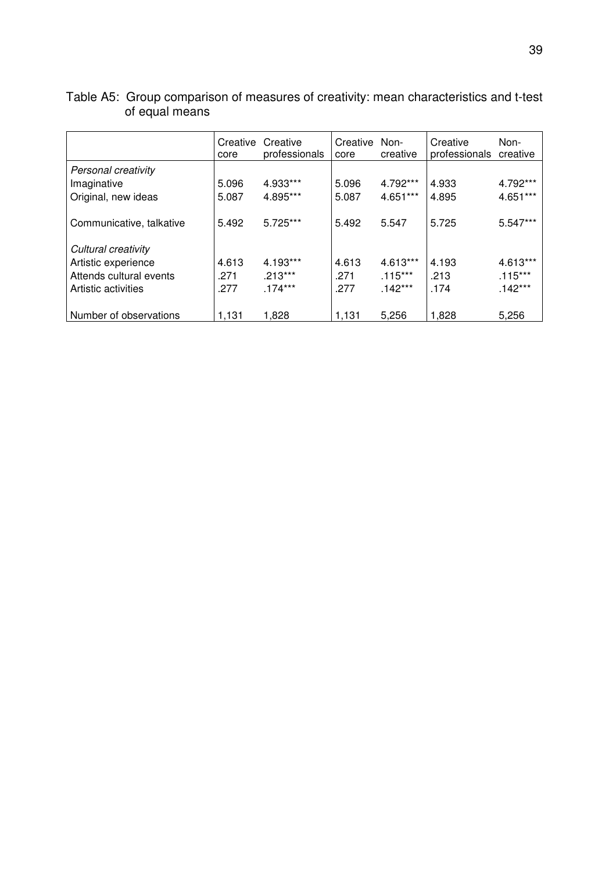|                          | Creative<br>core | Creative<br>professionals | Creative Non-<br>core | creative   | Creative<br>professionals | Non-<br>creative |
|--------------------------|------------------|---------------------------|-----------------------|------------|---------------------------|------------------|
| Personal creativity      |                  |                           |                       |            |                           |                  |
| Imaginative              | 5.096            | 4.933***                  | 5.096                 | 4.792***   | 4.933                     | 4.792***         |
| Original, new ideas      | 5.087            | 4.895***                  | 5.087                 | $4.651***$ | 4.895                     | $4.651***$       |
| Communicative, talkative | 5.492            | 5.725***                  | 5.492                 | 5.547      | 5.725                     | $5.547***$       |
| Cultural creativity      |                  |                           |                       |            |                           |                  |
|                          |                  |                           |                       |            |                           |                  |
| Artistic experience      | 4.613            | 4.193***                  | 4.613                 | 4.613***   | 4.193                     | 4.613***         |
| Attends cultural events  | .271             | $.213***$                 | .271                  | $.115***$  | .213                      | $.115***$        |
| Artistic activities      | .277             | $.174***$                 | .277                  | $.142***$  | .174                      | $.142***$        |
| Number of observations   | 1,131            | 1,828                     | 1,131                 | 5,256      | 1,828                     | 5,256            |

| Table A5: Group comparison of measures of creativity: mean characteristics and t-test |
|---------------------------------------------------------------------------------------|
| of equal means                                                                        |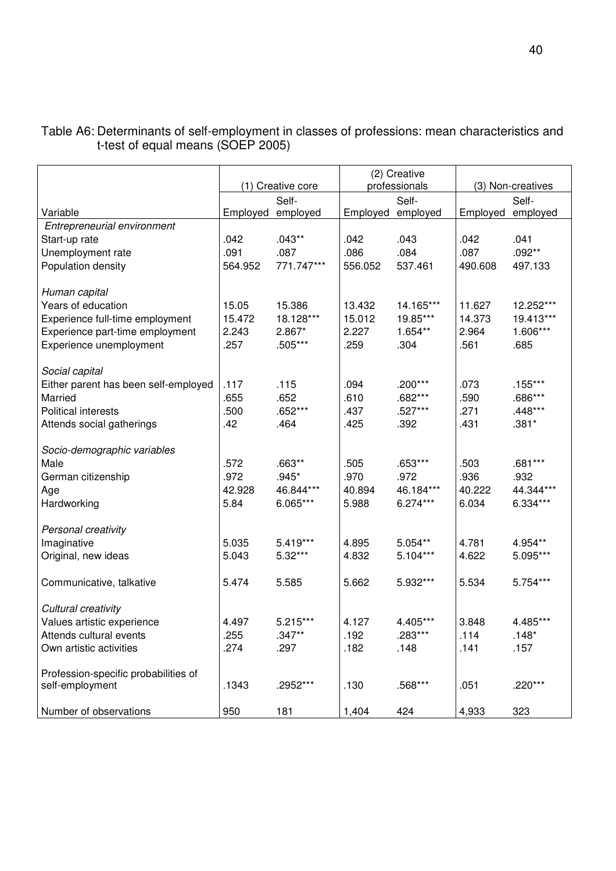|                                                         | (1) Creative core |            |                   | (2) Creative<br>professionals | (3) Non-creatives |           |  |
|---------------------------------------------------------|-------------------|------------|-------------------|-------------------------------|-------------------|-----------|--|
|                                                         | Self-             |            | Self-             |                               |                   | Self-     |  |
| Variable                                                | Employed employed |            | Employed employed |                               | Employed          | employed  |  |
| Entrepreneurial environment                             |                   |            |                   |                               |                   |           |  |
| Start-up rate                                           | .042              | $.043**$   | .042              | .043                          | .042              | .041      |  |
| Unemployment rate                                       | .091              | .087       | .086              | .084                          | .087              | $.092**$  |  |
| Population density                                      | 564.952           | 771.747*** | 556.052           | 537.461                       | 490.608           | 497.133   |  |
| Human capital                                           |                   |            |                   |                               |                   |           |  |
| Years of education                                      | 15.05             | 15.386     | 13.432            | 14.165***                     | 11.627            | 12.252*** |  |
| Experience full-time employment                         | 15.472            | 18.128***  | 15.012            | 19.85***                      | 14.373            | 19.413*** |  |
| Experience part-time employment                         | 2.243             | 2.867*     | 2.227             | 1.654**                       | 2.964             | 1.606***  |  |
| Experience unemployment                                 | .257              | .505***    | .259              | .304                          | .561              | .685      |  |
| Social capital                                          |                   |            |                   |                               |                   |           |  |
| Either parent has been self-employed                    | .117              | .115       | .094              | .200***                       | .073              | $.155***$ |  |
| Married                                                 | .655              | .652       | .610              | .682***                       | .590              | .686***   |  |
| <b>Political interests</b>                              | .500              | .652***    | .437              | .527***                       | .271              | .448***   |  |
| Attends social gatherings                               | .42               | .464       | .425              | .392                          | .431              | $.381*$   |  |
| Socio-demographic variables                             |                   |            |                   |                               |                   |           |  |
| Male                                                    | .572              | $.663**$   | .505              | .653***                       | .503              | .681***   |  |
| German citizenship                                      | .972              | $.945*$    | .970              | .972                          | .936              | .932      |  |
| Age                                                     | 42.928            | 46.844***  | 40.894            | 46.184***                     | 40.222            | 44.344*** |  |
| Hardworking                                             | 5.84              | 6.065***   | 5.988             | $6.274***$                    | 6.034             | 6.334***  |  |
| Personal creativity                                     |                   |            |                   |                               |                   |           |  |
| Imaginative                                             | 5.035             | 5.419***   | 4.895             | 5.054**                       | 4.781             | 4.954**   |  |
| Original, new ideas                                     | 5.043             | 5.32***    | 4.832             | 5.104***                      | 4.622             | 5.095***  |  |
| Communicative, talkative                                | 5.474             | 5.585      | 5.662             | 5.932***                      | 5.534             | 5.754***  |  |
| Cultural creativity                                     |                   |            |                   |                               |                   |           |  |
| Values artistic experience                              | 4.497             | 5.215***   | 4.127             | 4.405***                      | 3.848             | 4.485***  |  |
| Attends cultural events                                 | .255              | $.347**$   | .192              | .283***                       | .114              | $.148*$   |  |
| Own artistic activities                                 | .274              | .297       | .182              | .148                          | .141              | .157      |  |
| Profession-specific probabilities of<br>self-employment | .1343             | .2952***   | .130              | .568***                       | .051              | .220***   |  |
| Number of observations                                  | 950               | 181        | 1,404             | 424                           | 4,933             | 323       |  |

Table A6: Determinants of self-employment in classes of professions: mean characteristics and t-test of equal means (SOEP 2005)